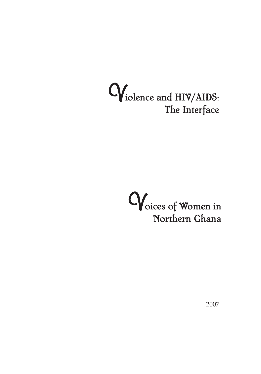# Violence and HIV/AIDS: The Interface



2007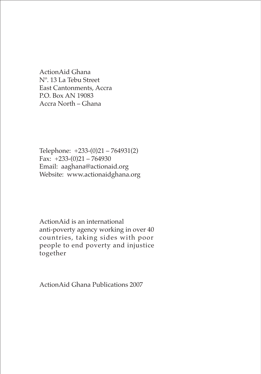ActionAid Ghana Nº. 13 La Tebu Street East Cantonments, Accra P.O. Box AN 19083 Accra North – Ghana

Telephone: +233-(0)21 – 764931(2) Fax:  $+233-(0)21 - 764930$ Email: aaghana@actionaid.org Website: www.actionaidghana.org

ActionAid is an international anti-poverty agency working in over 40 countries, taking sides with poor people to end poverty and injustice together

ActionAid Ghana Publications 2007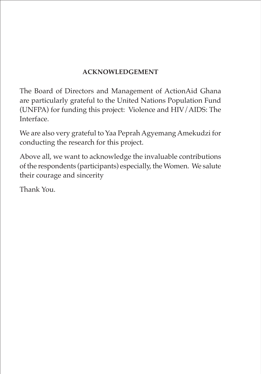# **ACKNOWLEDGEMENT**

The Board of Directors and Management of ActionAid Ghana are particularly grateful to the United Nations Population Fund (UNFPA) for funding this project: Violence and HIV/AIDS: The Interface.

We are also very grateful to Yaa Peprah Agyemang Amekudzi for conducting the research for this project.

Above all, we want to acknowledge the invaluable contributions of the respondents (participants) especially, the Women. We salute their courage and sincerity

Thank You.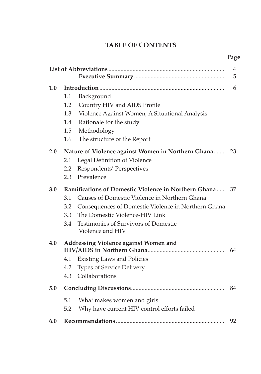# **TABLE OF CONTENTS**

|     |                                                            |                                                       | 4<br>5 |  |  |
|-----|------------------------------------------------------------|-------------------------------------------------------|--------|--|--|
| 1.0 |                                                            |                                                       |        |  |  |
|     | 1.1                                                        | Background                                            |        |  |  |
|     | 1.2                                                        | Country HIV and AIDS Profile                          |        |  |  |
|     | 1.3                                                        | Violence Against Women, A Situational Analysis        |        |  |  |
|     | 1.4                                                        | Rationale for the study                               |        |  |  |
|     | 1.5                                                        | Methodology                                           |        |  |  |
|     | 1.6                                                        | The structure of the Report                           |        |  |  |
| 2.0 |                                                            | Nature of Violence against Women in Northern Ghana 23 |        |  |  |
|     | 2.1                                                        | Legal Definition of Violence                          |        |  |  |
|     | 2.2                                                        | Respondents' Perspectives                             |        |  |  |
|     | 2.3                                                        | Prevalence                                            |        |  |  |
| 3.0 | Ramifications of Domestic Violence in Northern Ghana<br>37 |                                                       |        |  |  |
|     | 3.1                                                        | Causes of Domestic Violence in Northern Ghana         |        |  |  |
|     | 3.2                                                        | Consequences of Domestic Violence in Northern Ghana   |        |  |  |
|     | 3.3                                                        | The Domestic Violence-HIV Link                        |        |  |  |
|     | 3.4                                                        | <b>Testimonies of Survivors of Domestic</b>           |        |  |  |
|     |                                                            | Violence and HIV                                      |        |  |  |
| 4.0 | Addressing Violence against Women and                      |                                                       |        |  |  |
|     |                                                            |                                                       | 64     |  |  |
|     | 4.1                                                        | <b>Existing Laws and Policies</b>                     |        |  |  |
|     | 4.2                                                        | <b>Types of Service Delivery</b>                      |        |  |  |
|     | 4.3                                                        | Collaborations                                        |        |  |  |
| 5.0 |                                                            |                                                       | 84     |  |  |
|     | 5.1                                                        | What makes women and girls                            |        |  |  |
|     | 5.2                                                        | Why have current HIV control efforts failed           |        |  |  |
| 6.0 |                                                            |                                                       | 92     |  |  |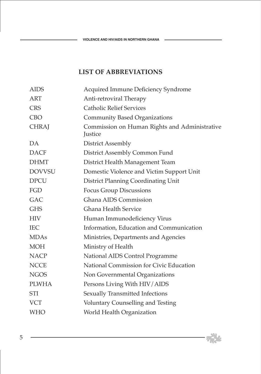$\overline{\phantom{a}}$ 

# **LIST OF ABBREVIATIONS**

| <b>AIDS</b>   | Acquired Immune Deficiency Syndrome                      |
|---------------|----------------------------------------------------------|
| <b>ART</b>    | Anti-retroviral Therapy                                  |
| <b>CRS</b>    | <b>Catholic Relief Services</b>                          |
| <b>CBO</b>    | <b>Community Based Organizations</b>                     |
| <b>CHRAJ</b>  | Commission on Human Rights and Administrative<br>Justice |
| DA            | District Assembly                                        |
| <b>DACF</b>   | District Assembly Common Fund                            |
| <b>DHMT</b>   | District Health Management Team                          |
| <b>DOVVSU</b> | Domestic Violence and Victim Support Unit                |
| <b>DPCU</b>   | District Planning Coordinating Unit                      |
| FGD           | <b>Focus Group Discussions</b>                           |
| <b>GAC</b>    | Ghana AIDS Commission                                    |
| <b>GHS</b>    | <b>Ghana Health Service</b>                              |
| <b>HIV</b>    | Human Immunodeficiency Virus                             |
| <b>IEC</b>    | Information, Education and Communication                 |
| <b>MDAs</b>   | Ministries, Departments and Agencies                     |
| <b>MOH</b>    | Ministry of Health                                       |
| <b>NACP</b>   | National AIDS Control Programme                          |
| <b>NCCE</b>   | National Commission for Civic Education                  |
| <b>NGOS</b>   | Non Governmental Organizations                           |
| <b>PLWHA</b>  | Persons Living With HIV/AIDS                             |
| <b>STI</b>    | Sexually Transmitted Infections                          |
| <b>VCT</b>    | Voluntary Counselling and Testing                        |
| <b>WHO</b>    | World Health Organization                                |

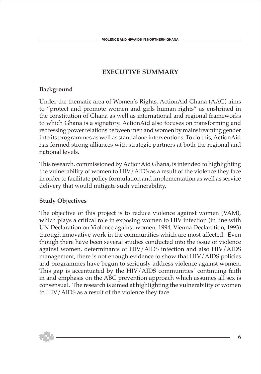# **EXECUTIVE SUMMARY**

## **Background**

Under the thematic area of Women's Rights, ActionAid Ghana (AAG) aims to "protect and promote women and girls human rights" as enshrined in the constitution of Ghana as well as international and regional frameworks to which Ghana is a signatory. ActionAid also focuses on transforming and redressing power relations between men and women by mainstreaming gender into its programmes as well as standalone interventions. To do this, ActionAid has formed strong alliances with strategic partners at both the regional and national levels.

This research, commissioned by ActionAid Ghana, is intended to highlighting the vulnerability of women to HIV/AIDS as a result of the violence they face in order to facilitate policy formulation and implementation as well as service delivery that would mitigate such vulnerability.

# **Study Objectives**

The objective of this project is to reduce violence against women (VAM), which plays a critical role in exposing women to HIV infection (in line with UN Declaration on Violence against women, 1994, Vienna Declaration, 1993) through innovative work in the communities which are most affected. Even though there have been several studies conducted into the issue of violence against women, determinants of HIV/AIDS infection and also HIV/AIDS management, there is not enough evidence to show that HIV/AIDS policies and programmes have begun to seriously address violence against women. This gap is accentuated by the HIV/AIDS communities' continuing faith in and emphasis on the ABC prevention approach which assumes all sex is consensual. The research is aimed at highlighting the vulnerability of women to HIV/AIDS as a result of the violence they face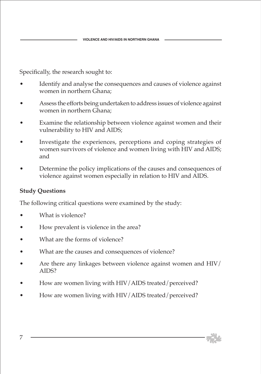Specifically, the research sought to:

- Identify and analyse the consequences and causes of violence against women in northern Ghana;
- Assess the efforts being undertaken to address issues of violence against women in northern Ghana;
- Examine the relationship between violence against women and their vulnerability to HIV and AIDS;
- Investigate the experiences, perceptions and coping strategies of women survivors of violence and women living with HIV and AIDS; and
- Determine the policy implications of the causes and consequences of violence against women especially in relation to HIV and AIDS.

# **Study Questions**

The following critical questions were examined by the study:

- What is violence?
- How prevalent is violence in the area?
- What are the forms of violence?
- What are the causes and consequences of violence?
- Are there any linkages between violence against women and HIV/ AIDS?
- How are women living with HIV/AIDS treated/perceived?
- How are women living with HIV/AIDS treated/perceived?

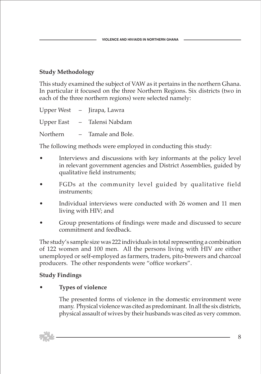# **Study Methodology**

This study examined the subject of VAW as it pertains in the northern Ghana. In particular it focused on the three Northern Regions. Six districts (two in each of the three northern regions) were selected namely:

|            |     | Upper West - Jirapa, Lawra |
|------------|-----|----------------------------|
| Upper East |     | - Talensi Nabdam           |
| Northern   | $-$ | Tamale and Bole.           |

The following methods were employed in conducting this study:

- Interviews and discussions with key informants at the policy level in relevant government agencies and District Assemblies, guided by qualitative field instruments;
- FGDs at the community level guided by qualitative field instruments;
- Individual interviews were conducted with 26 women and 11 men living with HIV; and
- Group presentations of findings were made and discussed to secure commitment and feedback.

The study's sample size was 222 individuals in total representing a combination of 122 women and 100 men. All the persons living with HIV are either unemployed or self-employed as farmers, traders, pito-brewers and charcoal producers. The other respondents were "office workers".

# **Study Findings**

# • **Types of violence**

The presented forms of violence in the domestic environment were many. Physical violence was cited as predominant. In all the six districts, physical assault of wives by their husbands was cited as very common.

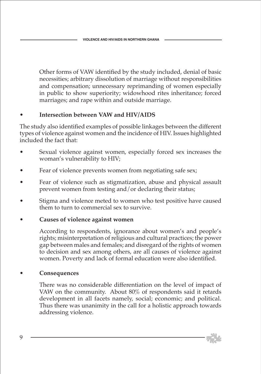Other forms of VAW identified by the study included, denial of basic necessities; arbitrary dissolution of marriage without responsibilities and compensation; unnecessary reprimanding of women especially in public to show superiority; widowhood rites inheritance; forced marriages; and rape within and outside marriage.

# • **Intersection between VAW and HIV/AIDS**

The study also identified examples of possible linkages between the different types of violence against women and the incidence of HIV. Issues highlighted included the fact that:

- Sexual violence against women, especially forced sex increases the woman's vulnerability to HIV;
- Fear of violence prevents women from negotiating safe sex;
- Fear of violence such as stigmatization, abuse and physical assault prevent women from testing and/or declaring their status;
- Stigma and violence meted to women who test positive have caused them to turn to commercial sex to survive.

#### • **Causes of violence against women**

 According to respondents, ignorance about women's and people's rights; misinterpretation of religious and cultural practices; the power gap between males and females; and disregard of the rights of women to decision and sex among others, are all causes of violence against women. Poverty and lack of formal education were also identified.

#### • **Consequences**

 There was no considerable differentiation on the level of impact of VAW on the community. About 80% of respondents said it retards development in all facets namely, social; economic; and political. Thus there was unanimity in the call for a holistic approach towards addressing violence.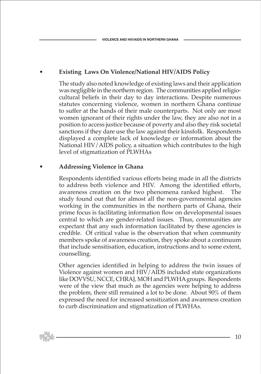# • **Existing Laws On Violence/National HIV/AIDS Policy**

 The study also noted knowledge of existing laws and their application was negligible in the northern region. The communities applied religiocultural beliefs in their day to day interactions. Despite numerous statutes concerning violence, women in northern Ghana continue to suffer at the hands of their male counterparts. Not only are most women ignorant of their rights under the law, they are also not in a position to access justice because of poverty and also they risk societal sanctions if they dare use the law against their kinsfolk. Respondents displayed a complete lack of knowledge or information about the National HIV/AIDS policy, a situation which contributes to the high level of stigmatization of PLWHAs

#### • **Addressing Violence in Ghana**

 Respondents identified various efforts being made in all the districts to address both violence and HIV. Among the identified efforts, awareness creation on the two phenomena ranked highest. The study found out that for almost all the non-governmental agencies working in the communities in the northern parts of Ghana, their prime focus is facilitating information flow on developmental issues central to which are gender-related issues. Thus, communities are expectant that any such information facilitated by these agencies is credible. Of critical value is the observation that when community members spoke of awareness creation, they spoke about a continuum that include sensitisation, education, instructions and to some extent, counselling.

 Other agencies identified in helping to address the twin issues of Violence against women and HIV/AIDS included state organizations like DOVVSU, NCCE, CHRAJ, MOH and PLWHA groups. Respondents were of the view that much as the agencies were helping to address the problem, there still remained a lot to be done. About 90% of them expressed the need for increased sensitization and awareness creation to curb discrimination and stigmatization of PLWHAs.

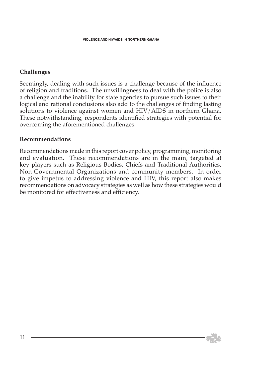# **Challenges**

Seemingly, dealing with such issues is a challenge because of the influence of religion and traditions. The unwillingness to deal with the police is also a challenge and the inability for state agencies to pursue such issues to their logical and rational conclusions also add to the challenges of finding lasting solutions to violence against women and HIV/AIDS in northern Ghana. These notwithstanding, respondents identified strategies with potential for overcoming the aforementioned challenges.

#### **Recommendations**

Recommendations made in this report cover policy, programming, monitoring and evaluation. These recommendations are in the main, targeted at key players such as Religious Bodies, Chiefs and Traditional Authorities, Non-Governmental Organizations and community members. In order to give impetus to addressing violence and HIV, this report also makes recommendations on advocacy strategies as well as how these strategies would be monitored for effectiveness and efficiency.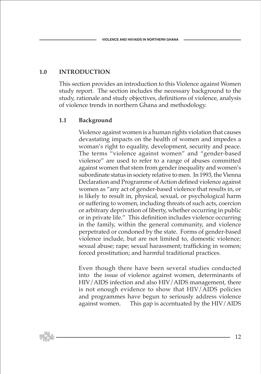# **1.0 INTRODUCTION**

This section provides an introduction to this Violence against Women study report. The section includes the necessary background to the study, rationale and study objectives, definitions of violence, analysis of violence trends in northern Ghana and methodology.

#### **1.1 Background**

 Violence against women is a human rights violation that causes devastating impacts on the health of women and impedes a woman's right to equality, development, security and peace. The terms "violence against women" and "gender-based violence" are used to refer to a range of abuses committed against women that stem from gender inequality and women's subordinate status in society relative to men. In 1993, the Vienna Declaration and Programme of Action defined violence against women as "any act of gender-based violence that results in, or is likely to result in, physical, sexual, or psychological harm or suffering to women, including threats of such acts, coercion or arbitrary deprivation of liberty, whether occurring in public or in private life." This definition includes violence occurring in the family, within the general community, and violence perpetrated or condoned by the state. Forms of gender-based violence include, but are not limited to, domestic violence; sexual abuse; rape; sexual harassment; trafficking in women; forced prostitution; and harmful traditional practices.

 Even though there have been several studies conducted into the issue of violence against women, determinants of HIV/AIDS infection and also HIV/AIDS management, there is not enough evidence to show that HIV/AIDS policies and programmes have begun to seriously address violence against women. This gap is accentuated by the HIV/AIDS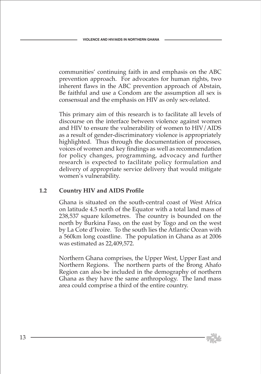communities' continuing faith in and emphasis on the ABC prevention approach. For advocates for human rights, two inherent flaws in the ABC prevention approach of Abstain, Be faithful and use a Condom are the assumption all sex is consensual and the emphasis on HIV as only sex-related.

 This primary aim of this research is to facilitate all levels of discourse on the interface between violence against women and HIV to ensure the vulnerability of women to HIV/AIDS as a result of gender-discriminatory violence is appropriately highlighted. Thus through the documentation of processes, voices of women and key findings as well as recommendation for policy changes, programming, advocacy and further research is expected to facilitate policy formulation and delivery of appropriate service delivery that would mitigate women's vulnerability.

#### **1.2 Country HIV and AIDS Profile**

 Ghana is situated on the south-central coast of West Africa on latitude 4.5 north of the Equator with a total land mass of 238,537 square kilometres. The country is bounded on the north by Burkina Faso, on the east by Togo and on the west by La Cote d'Ivoire. To the south lies the Atlantic Ocean with a 560km long coastline. The population in Ghana as at 2006 was estimated as 22,409,572.

 Northern Ghana comprises, the Upper West, Upper East and Northern Regions. The northern parts of the Brong Ahafo Region can also be included in the demography of northern Ghana as they have the same anthropology. The land mass area could comprise a third of the entire country.

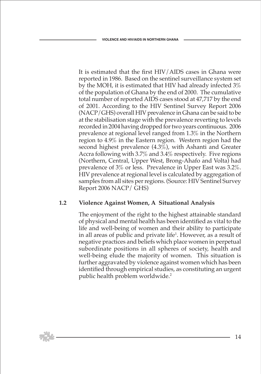It is estimated that the first HIV/AIDS cases in Ghana were reported in 1986. Based on the sentinel surveillance system set by the MOH, it is estimated that HIV had already infected 3% of the population of Ghana by the end of 2000. The cumulative total number of reported AIDS cases stood at 47,717 by the end of 2001. According to the HIV Sentinel Survey Report 2006 (NACP/GHS) overall HIV prevalence in Ghana can be said to be at the stabilisation stage with the prevalence reverting to levels recorded in 2004 having dropped for two years continuous. 2006 prevalence at regional level ranged from 1.3% in the Northern region to 4.9% in the Eastern region. Western region had the second highest prevalence (4.3%), with Ashanti and Greater Accra following with 3.7% and 3.4% respectively. Five regions (Northern, Central, Upper West, Brong-Ahafo and Volta) had prevalence of 3% or less. Prevalence in Upper East was 3.2%. HIV prevalence at regional level is calculated by aggregation of samples from all sites per regions. (Source: HIV Sentinel Survey Report 2006 NACP/ GHS)

#### **1.2 Violence Against Women, A Situational Analysis**

 The enjoyment of the right to the highest attainable standard of physical and mental health has been identified as vital to the life and well-being of women and their ability to participate in all areas of public and private life<sup>1</sup>. However, as a result of negative practices and beliefs which place women in perpetual subordinate positions in all spheres of society, health and well-being elude the majority of women. This situation is further aggravated by violence against women which has been identified through empirical studies, as constituting an urgent public health problem worldwide.<sup>2</sup>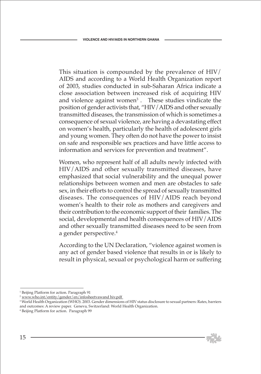This situation is compounded by the prevalence of HIV/ AIDS and according to a World Health Organization report of 2003, studies conducted in sub-Saharan Africa indicate a close association between increased risk of acquiring HIV and violence against women<sup>3</sup>. These studies vindicate the position of gender activists that, "HIV/AIDS and other sexually transmitted diseases, the transmission of which is sometimes a consequence of sexual violence, are having a devastating effect on women's health, particularly the health of adolescent girls and young women. They often do not have the power to insist on safe and responsible sex practices and have little access to information and services for prevention and treatment".

 Women, who represent half of all adults newly infected with HIV/AIDS and other sexually transmitted diseases, have emphasized that social vulnerability and the unequal power relationships between women and men are obstacles to safe sex, in their efforts to control the spread of sexually transmitted diseases. The consequences of HIV/AIDS reach beyond women's health to their role as mothers and caregivers and their contribution to the economic support of their families. The social, developmental and health consequences of HIV/AIDS and other sexually transmitted diseases need to be seen from a gender perspective.<sup>4</sup>

 According to the UN Declaration, "violence against women is any act of gender based violence that results in or is likely to result in physical, sexual or psychological harm or suffering



<sup>1</sup> Beijing Platform for action. Paragraph 91

<sup>2</sup> www.who.int/entity/gender/en/infosheetvawand hiv.pdf

<sup>3</sup> World Health Organization (WHO). 2003. Gender dimensions of HIV status disclosure to sexual partners: Rates, barriers and outcomes: A review paper. Geneva, Switzerland: World Health Organization.

<sup>4</sup> Beijing Platform for action. Paragraph 99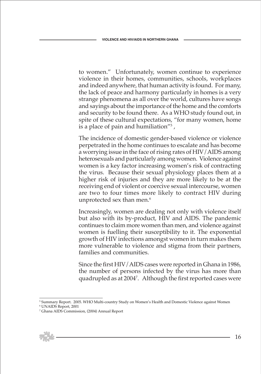to women." Unfortunately, women continue to experience violence in their homes, communities, schools, workplaces and indeed anywhere, that human activity is found. For many, the lack of peace and harmony particularly in homes is a very strange phenomena as all over the world, cultures have songs and sayings about the importance of the home and the comforts and security to be found there. As a WHO study found out, in spite of these cultural expectations, "for many women, home is a place of pain and humiliation"5 ,

 The incidence of domestic gender-based violence or violence perpetrated in the home continues to escalate and has become a worrying issue in the face of rising rates of HIV/AIDS among heterosexuals and particularly among women. Violence against women is a key factor increasing women's risk of contracting the virus. Because their sexual physiology places them at a higher risk of injuries and they are more likely to be at the receiving end of violent or coercive sexual intercourse, women are two to four times more likely to contract HIV during unprotected sex than men. $^6$ 

 Increasingly, women are dealing not only with violence itself but also with its by-product, HIV and AIDS. The pandemic continues to claim more women than men, and violence against women is fuelling their susceptibility to it. The exponential growth of HIV infections amongst women in turn makes them more vulnerable to violence and stigma from their partners, families and communities.

 Since the first HIV/AIDS cases were reported in Ghana in 1986, the number of persons infected by the virus has more than quadrupled as at 20047 . Although the first reported cases were

<sup>7</sup> Ghana AIDS Commission, (2004) Annual Report



<sup>5</sup> Summary Report. 2005. WHO Multi-country Study on Women's Health and Domestic Violence against Women

<sup>6</sup> UNAIDS Report, 2001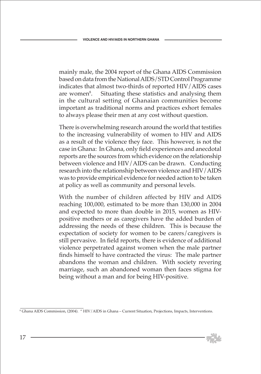mainly male, the 2004 report of the Ghana AIDS Commission based on data from the National AIDS/STD Control Programme indicates that almost two-thirds of reported HIV/AIDS cases are women<sup>8</sup>. . Situating these statistics and analysing them in the cultural setting of Ghanaian communities become important as traditional norms and practices exhort females to always please their men at any cost without question.

 There is overwhelming research around the world that testifies to the increasing vulnerability of women to HIV and AIDS as a result of the violence they face. This however, is not the case in Ghana: In Ghana, only field experiences and anecdotal reports are the sources from which evidence on the relationship between violence and HIV/AIDS can be drawn. Conducting research into the relationship between violence and HIV/AIDS was to provide empirical evidence for needed action to be taken at policy as well as community and personal levels.

 With the number of children affected by HIV and AIDS reaching 100,000, estimated to be more than 130,000 in 2004 and expected to more than double in 2015, women as HIVpositive mothers or as caregivers have the added burden of addressing the needs of these children. This is because the expectation of society for women to be carers/caregivers is still pervasive. In field reports, there is evidence of additional violence perpetrated against women when the male partner finds himself to have contracted the virus: The male partner abandons the woman and children. With society revering marriage, such an abandoned woman then faces stigma for being without a man and for being HIV-positive.

<sup>8</sup> Ghana AIDS Commission, (2004). " HIV/AIDS in Ghana – Current Situation, Projections, Impacts, Interventions.

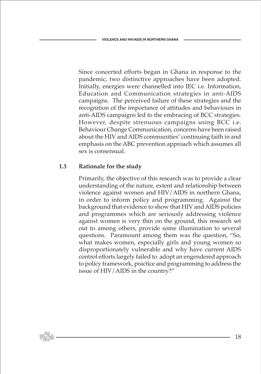Since concerted efforts began in Ghana in response to the pandemic, two distinctive approaches have been adopted. Initially, energies were channelled into IEC i.e. Information, Education and Communication strategies in anti-AIDS campaigns. The perceived failure of these strategies and the recognition of the importance of attitudes and behaviours in anti-AIDS campaigns led to the embracing of BCC strategies. However, despite strenuous campaigns using BCC i.e. Behaviour Change Communication, concerns have been raised about the HIV and AIDS communities' continuing faith in and emphasis on the ABC prevention approach which assumes all sex is consensual.

#### **1.3 Rationale for the study**

 Primarily, the objective of this research was to provide a clear understanding of the nature, extent and relationship between violence against women and HIV/AIDS in northern Ghana, in order to inform policy and programming. Against the background that evidence to show that HIV and AIDS policies and programmes which are seriously addressing violence against women is very thin on the ground, this research set out to among others, provide some illumination to several questions. Paramount among them was the question, "So, what makes women, especially girls and young women so disproportionately vulnerable and why have current AIDS control efforts largely failed to adopt an engendered approach to policy framework, practice and programming to address the issue of HIV/AIDS in the country?"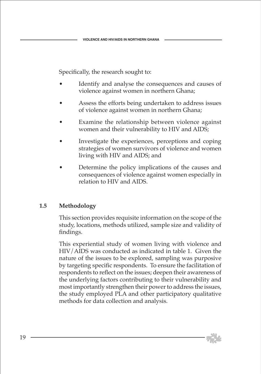Specifically, the research sought to:

- Identify and analyse the consequences and causes of violence against women in northern Ghana;
- Assess the efforts being undertaken to address issues of violence against women in northern Ghana;
- Examine the relationship between violence against women and their vulnerability to HIV and AIDS;
- Investigate the experiences, perceptions and coping strategies of women survivors of violence and women living with HIV and AIDS; and
- Determine the policy implications of the causes and consequences of violence against women especially in relation to HIV and AIDS.

# **1.5 Methodology**

 This section provides requisite information on the scope of the study, locations, methods utilized, sample size and validity of findings.

 This experiential study of women living with violence and HIV/AIDS was conducted as indicated in table 1. Given the nature of the issues to be explored, sampling was purposive by targeting specific respondents. To ensure the facilitation of respondents to reflect on the issues; deepen their awareness of the underlying factors contributing to their vulnerability and most importantly strengthen their power to address the issues, the study employed PLA and other participatory qualitative methods for data collection and analysis.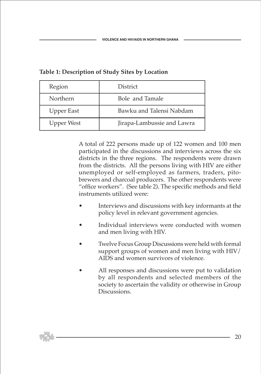| Region            | District                   |
|-------------------|----------------------------|
| Northern          | Bole and Tamale            |
| <b>Upper East</b> | Bawku and Talensi Nabdam   |
| <b>Upper West</b> | Jirapa-Lambussie and Lawra |

## **Table 1: Description of Study Sites by Location**

 A total of 222 persons made up of 122 women and 100 men participated in the discussions and interviews across the six districts in the three regions. The respondents were drawn from the districts. All the persons living with HIV are either unemployed or self-employed as farmers, traders, pitobrewers and charcoal producers. The other respondents were "office workers". (See table 2). The specific methods and field instruments utilized were:

- Interviews and discussions with key informants at the policy level in relevant government agencies.
- Individual interviews were conducted with women and men living with HIV.
- Twelve Focus Group Discussions were held with formal support groups of women and men living with HIV/ AIDS and women survivors of violence.
- All responses and discussions were put to validation by all respondents and selected members of the society to ascertain the validity or otherwise in Group Discussions.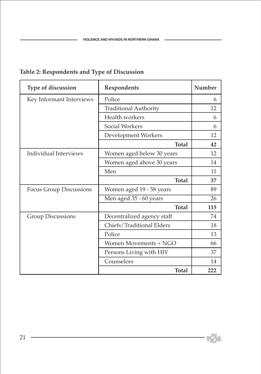| Type of discussion             | Respondents                  | Number |
|--------------------------------|------------------------------|--------|
| Key Informant Interviews       | Police                       | 6      |
|                                | <b>Traditional Authority</b> | 12     |
|                                | Health workers               | 6      |
|                                | <b>Social Workers</b>        | 6      |
|                                | Development Workers          | 12     |
|                                | <b>Total</b>                 | 42     |
| Individual Interviews          | Women aged below 30 years    | 12     |
|                                | Women aged above 30 years    | 14     |
|                                | Men                          | 11     |
|                                | <b>Total</b>                 | 37     |
| <b>Focus Group Discussions</b> | Women aged 19 - 58 years     | 89     |
|                                | Men aged 35 - 60 years       | 26     |
|                                | <b>Total</b>                 | 115    |
| <b>Group Discussions</b>       | Decentralized agency staff   | 74     |
|                                | Chiefs/Traditional Elders    | 18     |
|                                | Police                       | 13     |
|                                | Women Movements + NGO        | 66     |
|                                | Persons Living with HIV      | 37     |
|                                | Counselors                   | 14     |
|                                | <b>Total</b>                 | 222    |

# **Table 2: Respondents and Type of Discussion**

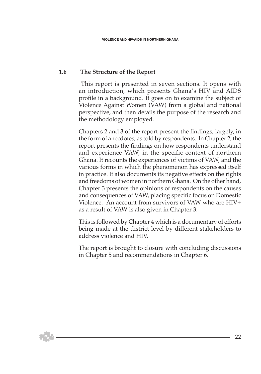#### **1.6 The Structure of the Report**

 This report is presented in seven sections. It opens with an introduction, which presents Ghana's HIV and AIDS profile in a background. It goes on to examine the subject of Violence Against Women (VAW) from a global and national perspective, and then details the purpose of the research and the methodology employed.

 Chapters 2 and 3 of the report present the findings, largely, in the form of anecdotes, as told by respondents. In Chapter 2, the report presents the findings on how respondents understand and experience VAW, in the specific context of northern Ghana. It recounts the experiences of victims of VAW, and the various forms in which the phenomenon has expressed itself in practice. It also documents its negative effects on the rights and freedoms of women in northern Ghana. On the other hand, Chapter 3 presents the opinions of respondents on the causes and consequences of VAW, placing specific focus on Domestic Violence. An account from survivors of VAW who are HIV+ as a result of VAW is also given in Chapter 3.

 This is followed by Chapter 4 which is a documentary of efforts being made at the district level by different stakeholders to address violence and HIV.

 The report is brought to closure with concluding discussions in Chapter 5 and recommendations in Chapter 6.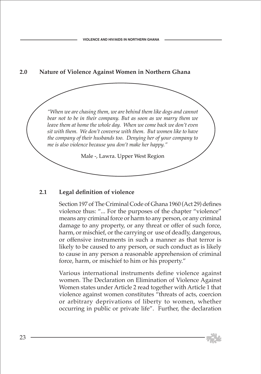# **2.0 Nature of Violence Against Women in Northern Ghana**

*"When we are chasing them, we are behind them like dogs and cannot bear not to be in their company. But as soon as we marry them we leave them at home the whole day. When we come back we don't even sit with them. We don't converse with them. But women like to have the company of their husbands too. Denying her of your company to me is also violence because you don't make her happy."*

Male -, Lawra. Upper West Region

#### **2.1 Legal definition of violence**

 Section 197 of The Criminal Code of Ghana 1960 (Act 29) defines violence thus: "... For the purposes of the chapter "violence" means any criminal force or harm to any person, or any criminal damage to any property, or any threat or offer of such force, harm, or mischief, or the carrying or use of deadly, dangerous, or offensive instruments in such a manner as that terror is likely to be caused to any person, or such conduct as is likely to cause in any person a reasonable apprehension of criminal force, harm, or mischief to him or his property."

 Various international instruments define violence against women. The Declaration on Elimination of Violence Against Women states under Article 2 read together with Article 1 that violence against women constitutes "threats of acts, coercion or arbitrary deprivations of liberty to women, whether occurring in public or private life". Further, the declaration

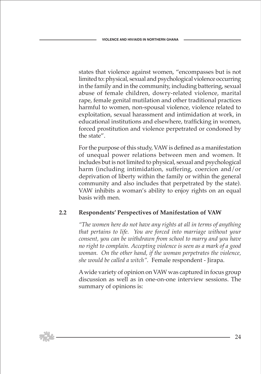states that violence against women, "encompasses but is not limited to: physical, sexual and psychological violence occurring in the family and in the community, including battering, sexual abuse of female children, dowry-related violence, marital rape, female genital mutilation and other traditional practices harmful to women, non-spousal violence, violence related to exploitation, sexual harassment and intimidation at work, in educational institutions and elsewhere, trafficking in women, forced prostitution and violence perpetrated or condoned by the state".

 For the purpose of this study, VAW is defined as a manifestation of unequal power relations between men and women. It includes but is not limited to physical, sexual and psychological harm (including intimidation, suffering, coercion and/or deprivation of liberty within the family or within the general community and also includes that perpetrated by the state). VAW inhibits a woman's ability to enjoy rights on an equal basis with men.

# **2.2 Respondents' Perspectives of Manifestation of VAW**

 *"The women here do not have any rights at all in terms of anything that pertains to life. You are forced into marriage without your consent, you can be withdrawn from school to marry and you have no right to complain. Accepting violence is seen as a mark of a good woman. On the other hand, if the woman perpetrates the violence, she would be called a witch".* Female respondent - Jirapa.

 A wide variety of opinion on VAW was captured in focus group discussion as well as in one-on-one interview sessions. The summary of opinions is: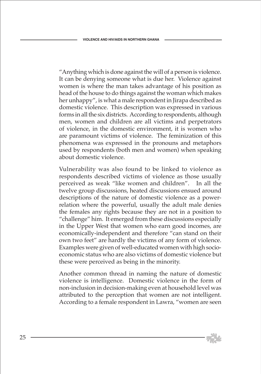"Anything which is done against the will of a person is violence. It can be denying someone what is due her. Violence against women is where the man takes advantage of his position as head of the house to do things against the woman which makes her unhappy", is what a male respondent in Jirapa described as domestic violence. This description was expressed in various forms in all the six districts. According to respondents, although men, women and children are all victims and perpetrators of violence, in the domestic environment, it is women who are paramount victims of violence. The feminization of this phenomena was expressed in the pronouns and metaphors used by respondents (both men and women) when speaking about domestic violence.

 Vulnerability was also found to be linked to violence as respondents described victims of violence as those usually perceived as weak "like women and children". In all the twelve group discussions, heated discussions ensued around descriptions of the nature of domestic violence as a powerrelation where the powerful, usually the adult male denies the females any rights because they are not in a position to "challenge" him. It emerged from these discussions especially in the Upper West that women who earn good incomes, are economically-independent and therefore "can stand on their own two feet" are hardly the victims of any form of violence. Examples were given of well-educated women with high socioeconomic status who are also victims of domestic violence but these were perceived as being in the minority.

 Another common thread in naming the nature of domestic violence is intelligence. Domestic violence in the form of non-inclusion in decision-making even at household level was attributed to the perception that women are not intelligent. According to a female respondent in Lawra, "women are seen

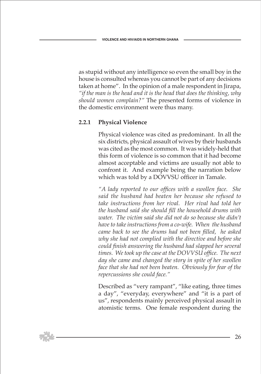as stupid without any intelligence so even the small boy in the house is consulted whereas you cannot be part of any decisions taken at home". In the opinion of a male respondent in Jirapa, *"if the man is the head and it is the head that does the thinking, why should women complain?"* The presented forms of violence in the domestic environment were thus many.

#### **2.2.1 Physical Violence**

 Physical violence was cited as predominant. In all the six districts, physical assault of wives by their husbands was cited as the most common. It was widely-held that this form of violence is so common that it had become almost acceptable and victims are usually not able to confront it. And example being the narration below which was told by a DOVVSU officer in Tamale.

 *"A lady reported to our offices with a swollen face. She said the husband had beaten her because she refused to take instructions from her rival. Her rival had told her the husband said she should fill the household drums with water. The victim said she did not do so because she didn't have to take instructions from a co-wife. When the husband came back to see the drums had not been filled, he asked why she had not complied with the directive and before she could finish answering the husband had slapped her several times. We took up the case at the DOVVSU office. The next day she came and changed the story in spite of her swollen face that she had not been beaten. Obviously for fear of the repercussions she could face."*

 Described as "very rampant", "like eating, three times a day", "everyday, everywhere" and "it is a part of us", respondents mainly perceived physical assault in atomistic terms. One female respondent during the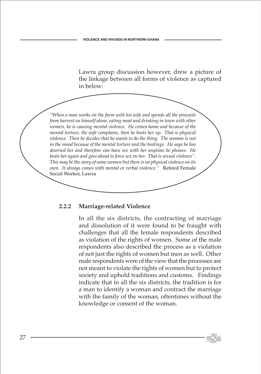Lawra group discussion however, drew a picture of the linkage between all forms of violence as captured in below:

*"When a man works on the farm with his wife and spends all the proceeds from harvest on himself alone, eating meat and drinking in town with other women, he is causing mental violence. He comes home and because of the mental torture, the wife complains, then he beats her up. That is physical violence. Then he decides that he wants to do the thing. The woman is not in the mood because of the mental torture and the beatings. He says he has dowried her and therefore can have sex with her anytime he pleases. He beats her again and goes ahead to force sex on her. That is sexual violence". This may be the story of some women but there is no physical violence on its own. It always comes with mental or verbal violence."* Retired Female Social Worker, Lawra

#### **2.2.2 Marriage-related Violence**

 In all the six districts, the contracting of marriage and dissolution of it were found to be fraught with challenges that all the female respondents described as violation of the rights of women. Some of the male respondents also described the process as a violation of not just the rights of women but men as well. Other male respondents were of the view that the processes are not meant to violate the rights of women but to protect society and uphold traditions and customs. Findings indicate that in all the six districts, the tradition is for a man to identify a woman and contract the marriage with the family of the woman, oftentimes without the knowledge or consent of the woman.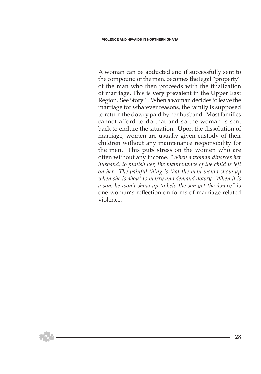A woman can be abducted and if successfully sent to the compound of the man, becomes the legal "property" of the man who then proceeds with the finalization of marriage. This is very prevalent in the Upper East Region. See Story 1. When a woman decides to leave the marriage for whatever reasons, the family is supposed to return the dowry paid by her husband. Most families cannot afford to do that and so the woman is sent back to endure the situation. Upon the dissolution of marriage, women are usually given custody of their children without any maintenance responsibility for the men. This puts stress on the women who are often without any income. *"When a woman divorces her husband, to punish her, the maintenance of the child is left on her. The painful thing is that the man would show up when she is about to marry and demand dowry. When it is a son, he won't show up to help the son get the dowry"* is one woman's reflection on forms of marriage-related violence.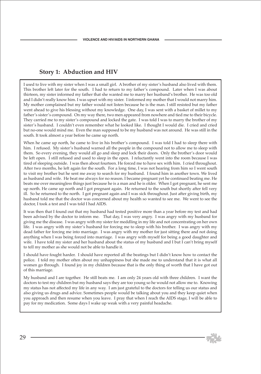## **Story 1: Abduction and HIV**

I used to live with my sister when I was a small girl. A brother of my sister's husband also lived with them. This brother left later for the south. I had to return to my father's compound. Later when I was about thirteen, my sister informed my father that she wanted me to marry her husband's brother. He was too old and I didn't really know him. I was upset with my sister. I informed my mother that I would not marry him. My mother complained but my father would not listen because he is the man. I still resisted but my father went ahead to give his blessing without my knowledge. One day, I was sent with a basket of millet to my father's sister's compound. On my way there, two men appeared from nowhere and tied me to their bicycle. They carried me to my sister's compound and locked the gate. I was told I was to marry the brother of my sister's husband. I couldn't even remember what he looked like. I thought I would die. I cried and cried but no-one would mind me. Even the man supposed to be my husband was not around. He was still in the south. It took almost a year before he came up north.

When he came up north, he came to live in his brother's compound. I was told I had to sleep there with him. I refused. My sister's husband warned all the people in the compound not to allow me to sleep with them. So every evening, they would all go and sleep and lock their doors. Only the brother's door would be left open. I still refused and used to sleep in the open. I reluctantly went into the room because I was tired of sleeping outside. I was then about fourteen. He forced me to have sex with him. I cried throughout. After two months, he left again for the south. For a long time, I was not hearing from him so I went south to visit my brother but he sent me away to search for my husband. I found him in another town. We lived as husband and wife. He beat me always for no reason. I became pregnant yet he continued beating me. He beats me over meaningless things just because he is a man and he is older. When I got pregnant, he sent me up north. He came up north and I got pregnant again. He returned to the south but shortly after fell very ill. So he returned to the north. I got pregnant again and I was sick throughout. Just after giving birth, my husband told me that the doctor was concerned about my health so wanted to see me. We went to see the doctor, I took a test and I was told I had AIDS.

It was then that I found out that my husband had tested positive more than a year before my test and had been advised by the doctor to inform me. That day, I was very angry. I was angry with my husband for giving me the disease. I was angry with my sister for meddling in my life and not concentrating on her own life. I was angry with my sister's husband for forcing me to sleep with his brother. I was angry with my dead father for forcing me into marriage. I was angry with my mother for just sitting there and not doing anything when I was being forced into marriage. I was angry with myself for being a good daughter and wife. I have told my sister and her husband about the status of my husband and I but I can't bring myself to tell my mother as she would not be able to handle it.

I should have fought harder. I should have reported all the beatings but I didn't know how to contact the police. I told my mother often about my unhappiness but she made me to understand that it is what all women go through. I found joy in my children because that is the only thing of worth that I have got out of this marriage.

My husband and I are together. He still beats me. I am only 24 years old with three children. I want the doctors to test my children but my husband says they are too young so he would not allow me to. Knowing my status has not affected my life in any way. I am just grateful to the doctors for telling us our status and also giving us drugs and advice. Sometimes people would be talking about you and they keep quiet when you approach and then resume when you leave. I pray that when I reach the AIDS stage, I will be able to pay for my medication. Some days I wake up weak with a very painful headache.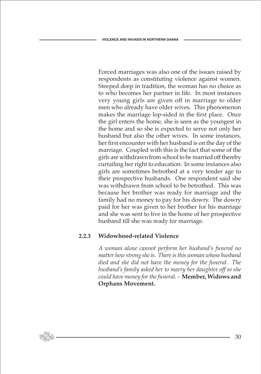Forced marriages was also one of the issues raised by respondents as constituting violence against women. Steeped deep in tradition, the woman has no choice as to who becomes her partner in life. In most instances very young girls are given off in marriage to older men who already have older wives. This phenomenon makes the marriage lop-sided in the first place. Once the girl enters the home, she is seen as the youngest in the home and so she is expected to serve not only her husband but also the other wives. In some instances, her first encounter with her husband is on the day of the marriage. Coupled with this is the fact that some of the girls are withdrawn from school to be married off thereby curtailing her right to education. In some instances also girls are sometimes betrothed at a very tender age to their prospective husbands. One respondent said she was withdrawn from school to be betrothed. This was because her brother was ready for marriage and the family had no money to pay for his dowry. The dowry paid for her was given to her brother for his marriage and she was sent to live in the home of her prospective husband till she was ready for marriage.

#### **2.2.3 Widowhood-related Violence**

 *A woman alone cannot perform her husband's funeral no matter how strong she is. There is this woman whose husband died and she did not have the money for the funeral. The husband's family asked her to marry her daughter off so she could have money for the funeral. -* **Member, Widows and Orphans Movement.**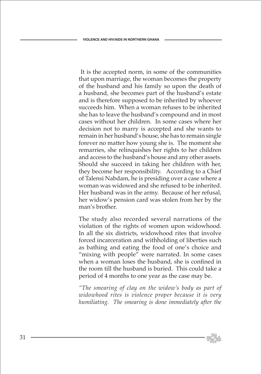It is the accepted norm, in some of the communities that upon marriage, the woman becomes the property of the husband and his family so upon the death of a husband, she becomes part of the husband's estate and is therefore supposed to be inherited by whoever succeeds him. When a woman refuses to be inherited she has to leave the husband's compound and in most cases without her children. In some cases where her decision not to marry is accepted and she wants to remain in her husband's house, she has to remain single forever no matter how young she is. The moment she remarries, she relinquishes her rights to her children and access to the husband's house and any other assets. Should she succeed in taking her children with her, they become her responsibility. According to a Chief of Talensi Nabdam, he is presiding over a case where a woman was widowed and she refused to be inherited. Her husband was in the army. Because of her refusal, her widow's pension card was stolen from her by the man's brother.

 The study also recorded several narrations of the violation of the rights of women upon widowhood. In all the six districts, widowhood rites that involve forced incarceration and withholding of liberties such as bathing and eating the food of one's choice and "mixing with people" were narrated. In some cases when a woman loses the husband, she is confined in the room till the husband is buried. This could take a period of 4 months to one year as the case may be.

 *"The smearing of clay on the widow's body as part of widowhood rites is violence proper because it is very humiliating. The smearing is done immediately after the* 

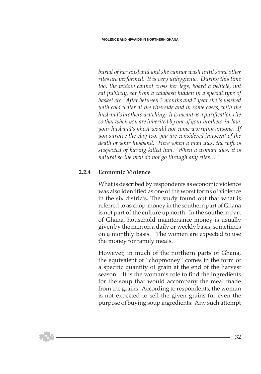*burial of her husband and she cannot wash until some other rites are performed. It is very unhygienic. During this time too, the widow cannot cross her legs, board a vehicle, not eat publicly, eat from a calabash hidden in a special type of basket etc. After between 3 months and 1 year she is washed with cold water at the riverside and in some cases, with the husband's brothers watching. It is meant as a purification rite so that when you are inherited by one of your brothers-in-law, your husband's ghost would not come worrying anyone. If you survive the clay too, you are considered innocent of the death of your husband. Here when a man dies, the wife is suspected of having killed him. When a woman dies, it is natural so the men do not go through any rites…"* 

# **2.2.4 Economic Violence**

 What is described by respondents as economic violence was also identified as one of the worst forms of violence in the six districts. The study found out that what is referred to as chop-money in the southern part of Ghana is not part of the culture up north. In the southern part of Ghana, household maintenance money is usually given by the men on a daily or weekly basis, sometimes on a monthly basis. The women are expected to use the money for family meals.

 However, in much of the northern parts of Ghana, the equivalent of "chopmoney" comes in the form of a specific quantity of grain at the end of the harvest season. It is the woman's role to find the ingredients for the soup that would accompany the meal made from the grains. According to respondents, the woman is not expected to sell the given grains for even the purpose of buying soup ingredients: Any such attempt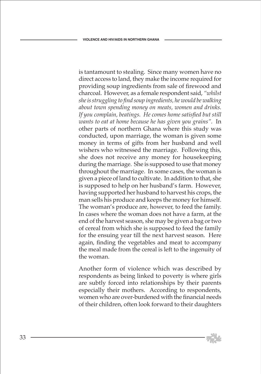is tantamount to stealing. Since many women have no direct access to land, they make the income required for providing soup ingredients from sale of firewood and charcoal. However, as a female respondent said, *"whilst she is struggling to find soup ingredients, he would be walking about town spending money on meats, women and drinks. If you complain, beatings. He comes home satisfied but still wants to eat at home because he has given you grains".* In other parts of northern Ghana where this study was conducted, upon marriage, the woman is given some money in terms of gifts from her husband and well wishers who witnessed the marriage. Following this, she does not receive any money for housekeeping during the marriage. She is supposed to use that money throughout the marriage. In some cases, the woman is given a piece of land to cultivate. In addition to that, she is supposed to help on her husband's farm. However, having supported her husband to harvest his crops, the man sells his produce and keeps the money for himself. The woman's produce are, however, to feed the family. In cases where the woman does not have a farm, at the end of the harvest season, she may be given a bag or two of cereal from which she is supposed to feed the family for the ensuing year till the next harvest season. Here again, finding the vegetables and meat to accompany the meal made from the cereal is left to the ingenuity of the woman.

 Another form of violence which was described by respondents as being linked to poverty is where girls are subtly forced into relationships by their parents especially their mothers. According to respondents, women who are over-burdened with the financial needs of their children, often look forward to their daughters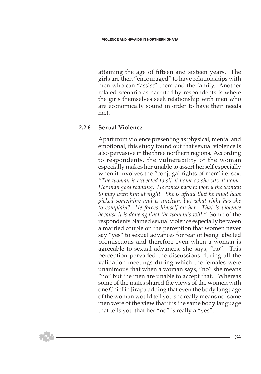attaining the age of fifteen and sixteen years. The girls are then "encouraged" to have relationships with men who can "assist" them and the family. Another related scenario as narrated by respondents is where the girls themselves seek relationship with men who are economically sound in order to have their needs met.

#### **2.2.6 Sexual Violence**

 Apart from violence presenting as physical, mental and emotional, this study found out that sexual violence is also pervasive in the three northern regions. According to respondents, the vulnerability of the woman especially makes her unable to assert herself especially when it involves the "conjugal rights of men" i.e. sex: *"The woman is expected to sit at home so she sits at home. Her man goes roaming. He comes back to worry the woman to play with him at night. She is afraid that he must have picked something and is unclean, but what right has she to complain? He forces himself on her. That is violence because it is done against the woman's will."* Some of the respondents blamed sexual violence especially between a married couple on the perception that women never say "yes" to sexual advances for fear of being labelled promiscuous and therefore even when a woman is agreeable to sexual advances, she says, "no". This perception pervaded the discussions during all the validation meetings during which the females were unanimous that when a woman says, "no" she means "no" but the men are unable to accept that. Whereas some of the males shared the views of the women with one Chief in Jirapa adding that even the body language of the woman would tell you she really means no, some men were of the view that it is the same body language that tells you that her "no" is really a "yes".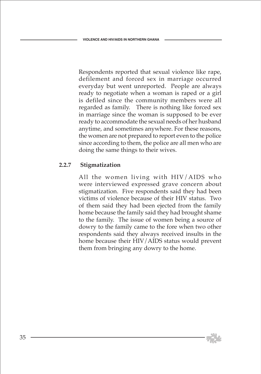Respondents reported that sexual violence like rape, defilement and forced sex in marriage occurred everyday but went unreported. People are always ready to negotiate when a woman is raped or a girl is defiled since the community members were all regarded as family. There is nothing like forced sex in marriage since the woman is supposed to be ever ready to accommodate the sexual needs of her husband anytime, and sometimes anywhere. For these reasons, the women are not prepared to report even to the police since according to them, the police are all men who are doing the same things to their wives.

#### **2.2.7 Stigmatization**

 All the women living with HIV/AIDS who were interviewed expressed grave concern about stigmatization. Five respondents said they had been victims of violence because of their HIV status. Two of them said they had been ejected from the family home because the family said they had brought shame to the family. The issue of women being a source of dowry to the family came to the fore when two other respondents said they always received insults in the home because their HIV/AIDS status would prevent them from bringing any dowry to the home.

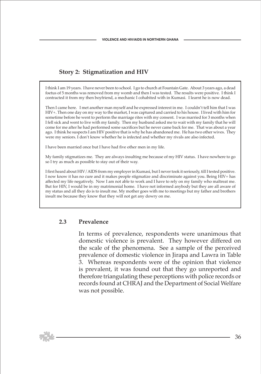# **Story 2: Stigmatization and HIV**

I think I am 19 years. I have never been to school. I go to church at Fountain Gate. About 3 years ago, a dead foetus of 5 months was removed from my womb and then I was tested. The results were positive. I think I contracted it from my then boyfriend, a mechanic I cohabited with in Kumasi. I learnt he is now dead.

Then I came here. I met another man myself and he expressed interest in me. I couldn't tell him that I was HIV+. Then one day on my way to the market, I was captured and carried to his house. I lived with him for sometime before he went to perform the marriage rites with my consent. I was married for 3 months when I fell sick and went to live with my family. Then my husband asked me to wait with my family that he will come for me after he had performed some sacrifices but he never came back for me. That was about a year ago. I think he suspects I am HIV positive that is why he has abandoned me. He has two other wives. They were my seniors. I don't know whether he is infected and whether my rivals are also infected.

I have been married once but I have had five other men in my life.

My family stigmatizes me. They are always insulting me because of my HIV status. I have nowhere to go so I try as much as possible to stay out of their way.

I first heard about HIV/AIDS from my employer in Kumasi, but I never took it seriously, till I tested positive. I now know it has no cure and it makes people stigmatize and discriminate against you. Being HIV+ has affected my life negatively. Now I am not able to work and I have to rely on my family who maltreat me. But for HIV, I would be in my matrimonial home. I have not informed anybody but they are all aware of my status and all they do is to insult me. My mother goes with me to meetings but my father and brothers insult me because they know that they will not get any dowry on me.

#### **2.3 Prevalence**

 In terms of prevalence, respondents were unanimous that domestic violence is prevalent. They however differed on the scale of the phenomena. See a sample of the perceived prevalence of domestic violence in Jirapa and Lawra in Table 3. Whereas respondents were of the opinion that violence is prevalent, it was found out that they go unreported and therefore triangulating these perceptions with police records or records found at CHRAJ and the Department of Social Welfare was not possible.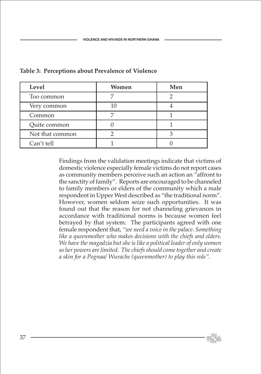| Level           | Women | Men |
|-----------------|-------|-----|
| Too common      |       |     |
| Very common     |       |     |
| Common          |       |     |
| Quite common    |       |     |
| Not that common |       |     |
| Can't tell      |       |     |

### **Table 3: Perceptions about Prevalence of Violence**

Findings from the validation meetings indicate that victims of domestic violence especially female victims do not report cases as community members perceive such an action an "affront to the sanctity of family". Reports are encouraged to be channeled to family members or elders of the community which a male respondent in Upper West described as "the traditional norm". However, women seldom seize such opportunities. It was found out that the reason for not channeling grievances in accordance with traditional norms is because women feel betrayed by that system. The participants agreed with one female respondent that, *"we need a voice in the palace. Something like a queenmother who makes decisions with the chiefs and elders. We have the magadzia but she is like a political leader of only women so her powers are limited. The chiefs should come together and create a skin for a Pognaa/ Wurache (queenmother) to play this role".*

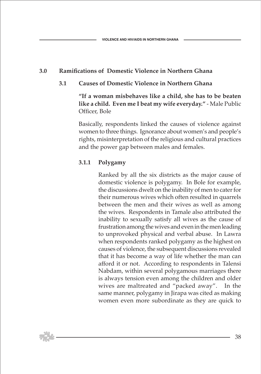# **3.0 Ramifications of Domestic Violence in Northern Ghana**

### **3.1 Causes of Domestic Violence in Northern Ghana**

 **"If a woman misbehaves like a child, she has to be beaten like a child. Even me I beat my wife everyday."** - Male Public Officer, Bole

 Basically, respondents linked the causes of violence against women to three things. Ignorance about women's and people's rights, misinterpretation of the religious and cultural practices and the power gap between males and females.

### **3.1.1 Polygamy**

 Ranked by all the six districts as the major cause of domestic violence is polygamy. In Bole for example, the discussions dwelt on the inability of men to cater for their numerous wives which often resulted in quarrels between the men and their wives as well as among the wives. Respondents in Tamale also attributed the inability to sexually satisfy all wives as the cause of frustration among the wives and even in the men leading to unprovoked physical and verbal abuse. In Lawra when respondents ranked polygamy as the highest on causes of violence, the subsequent discussions revealed that it has become a way of life whether the man can afford it or not. According to respondents in Talensi Nabdam, within several polygamous marriages there is always tension even among the children and older wives are maltreated and "packed away". In the same manner, polygamy in Jirapa was cited as making women even more subordinate as they are quick to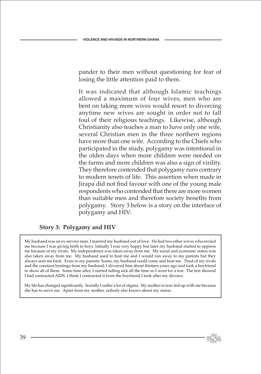pander to their men without questioning for fear of losing the little attention paid to them.

 It was indicated that although Islamic teachings allowed a maximum of four wives, men who are bent on taking more wives would resort to divorcing anytime new wives are sought in order not to fall foul of their religious teachings. Likewise, although Christianity also teaches a man to have only one wife, several Christian men in the three northern regions have more than one wife. According to the Chiefs who participated in the study, polygamy was intentional in the olden days when more children were needed on the farms and more children was also a sign of virility. They therefore contended that polygamy runs contrary to modern tenets of life. This assertion when made in Jirapa did not find favour with one of the young male respondents who contended that there are more women than suitable men and therefore society benefits from polygamy. Story 3 below is a story on the interface of polygamy and HIV:

### **Story 3: Polygamy and HIV**

My husband was an ex-service man. I married my husband out of love. He had two other wives who envied me because I was giving birth to boys. Initially I was very happy but later my husband started to oppress me because of my rivals. My independence was taken away from me. My social and economic status was also taken away from me. My husband used to beat me and I would run away to my parents but they always sent me back. Even in my parents' home, my husband could come and beat me. Tired of my rivals and the constant beatings from my husband, I divorced him about thirteen years ago and took a boyfriend to show all of them. Some time after, I started falling sick all the time so I went for a test. The test showed I had contracted AIDS. I think I contracted it from the boyfriend I took after my divorce.

My life has changed significantly. Socially I suffer a lot of stigma. My mother is now fed up with me because she has to serve me. Apart from my mother, nobody else knows about my status.

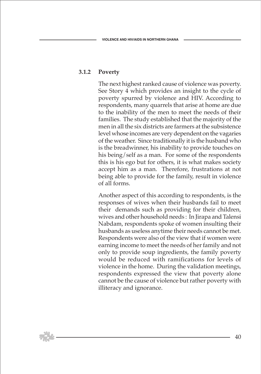### **3.1.2 Poverty**

 The next highest ranked cause of violence was poverty. See Story 4 which provides an insight to the cycle of poverty spurred by violence and HIV. According to respondents, many quarrels that arise at home are due to the inability of the men to meet the needs of their families. The study established that the majority of the men in all the six districts are farmers at the subsistence level whose incomes are very dependent on the vagaries of the weather. Since traditionally it is the husband who is the breadwinner, his inability to provide touches on his being/self as a man. For some of the respondents this is his ego but for others, it is what makes society accept him as a man. Therefore, frustrations at not being able to provide for the family, result in violence of all forms.

 Another aspect of this according to respondents, is the responses of wives when their husbands fail to meet their demands such as providing for their children, wives and other household needs : In Jirapa and Talensi Nabdam, respondents spoke of women insulting their husbands as useless anytime their needs cannot be met. Respondents were also of the view that if women were earning income to meet the needs of her family and not only to provide soup ingredients, the family poverty would be reduced with ramifications for levels of violence in the home. During the validation meetings, respondents expressed the view that poverty alone cannot be the cause of violence but rather poverty with illiteracy and ignorance.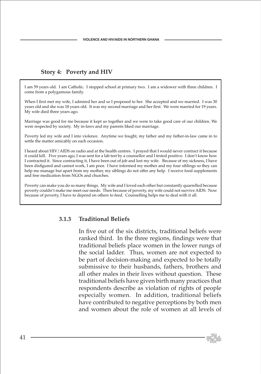### **Story 4: Poverty and HIV**

I am 59 years old. I am Catholic. I stopped school at primary two. I am a widower with three children. I come from a polygamous family.

When I first met my wife, I admired her and so I proposed to her. She accepted and we married. I was 30 years old and she was 18 years old. It was my second marriage and her first. We were married for 19 years. My wife died three years ago.

Marriage was good for me because it kept us together and we were to take good care of our children. We were respected by society. My in-laws and my parents liked our marriage.

Poverty led my wife and I into violence. Anytime we fought, my father and my father-in-law came in to settle the matter amicably on each occasion.

I heard about HIV/AIDS on radio and at the health centres. I prayed that I would never contract it because it could kill. Five years ago, I was sent for a lab test by a counsellor and I tested positive. I don't know how I contracted it. Since contracting it, I have been out of job and lost my wife. Because of my sickness, I have been disfigured and cannot work, I am poor. I have informed my mother and my four siblings so they can help me manage but apart from my mother, my siblings do not offer any help. I receive food supplements and free medication from NGOs and churches.

Poverty can make you do so many things. My wife and I loved each other but constantly quarrelled because poverty couldn't make me meet our needs. Then because of poverty, my wife could not survive AIDS. Now because of poverty, I have to depend on others to feed. Counselling helps me to deal with it all.

### **3.1.3 Traditional Beliefs**

 In five out of the six districts, traditional beliefs were ranked third. In the three regions, findings were that traditional beliefs place women in the lower rungs of the social ladder. Thus, women are not expected to be part of decision-making and expected to be totally submissive to their husbands, fathers, brothers and all other males in their lives without question. These traditional beliefs have given birth many practices that respondents describe as violation of rights of people especially women. In addition, traditional beliefs have contributed to negative perceptions by both men and women about the role of women at all levels of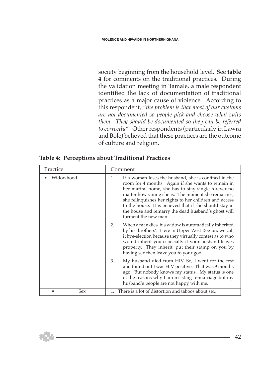society beginning from the household level. See **table 4** for comments on the traditional practices. During the validation meeting in Tamale, a male respondent identified the lack of documentation of traditional practices as a major cause of violence. According to this respondent, *"the problem is that most of our customs are not documented so people pick and choose what suits them. They should be documented so they can be referred to correctly".* Other respondents (particularly in Lawra and Bole) believed that these practices are the outcome of culture and religion.

| Practice  | Comment                                                                                                                                                                                                                                                                                                                                                                                                                           |  |
|-----------|-----------------------------------------------------------------------------------------------------------------------------------------------------------------------------------------------------------------------------------------------------------------------------------------------------------------------------------------------------------------------------------------------------------------------------------|--|
| Widowhood | If a woman loses the husband, she is confined in the<br>1.<br>room for 4 months. Again if she wants to remain in<br>her marital home, she has to stay single forever no<br>matter how young she is. The moment she remarries,<br>she relinquishes her rights to her children and access<br>to the house. It is believed that if she should stay in<br>the house and remarry the dead husband's ghost will<br>torment the new man. |  |
|           | When a man dies, his widow is automatically inherited<br>2.<br>by his 'brothers'. Here in Upper West Region, we call<br>it bye-election because they virtually contest as to who<br>would inherit you especially if your husband leaves<br>property. They inherit, put their stamp on you by<br>having sex then leave you to your god.                                                                                            |  |
|           | My husband died from HIV. So, I went for the test<br>3.<br>and found out I was HIV positive. That was 9 months<br>ago. But nobody knows my status. My status is one<br>of the reasons why I am resisting re-marriage but my<br>husband's people are not happy with me.                                                                                                                                                            |  |
| Sex       | 1. There is a lot of distortion and taboos about sex.                                                                                                                                                                                                                                                                                                                                                                             |  |

**Table 4: Perceptions about Traditional Practices**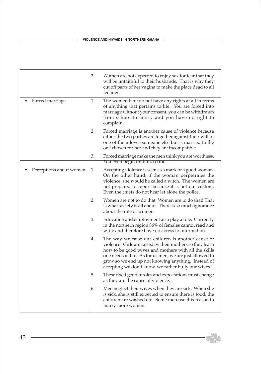|                         | 2.                                                                                                                                                                                                                                                                                  | Women are not expected to enjoy sex for fear that they<br>will be unfaithful to their husbands. That is why they<br>cut off parts of her vagina to make the place dead to all<br>feelings.                                                                                                                                                      |  |
|-------------------------|-------------------------------------------------------------------------------------------------------------------------------------------------------------------------------------------------------------------------------------------------------------------------------------|-------------------------------------------------------------------------------------------------------------------------------------------------------------------------------------------------------------------------------------------------------------------------------------------------------------------------------------------------|--|
| Forced marriage         | 1.                                                                                                                                                                                                                                                                                  | The women here do not have any rights at all in terms<br>of anything that pertains to life. You are forced into<br>marriage without your consent, you can be withdrawn<br>from school to marry and you have no right to<br>complain.                                                                                                            |  |
|                         | 2.                                                                                                                                                                                                                                                                                  | Forced marriage is another cause of violence because<br>either the two parties are together against their will or<br>one of them loves someone else but is married to the<br>one chosen for her and they are incompatible.                                                                                                                      |  |
|                         | 3.                                                                                                                                                                                                                                                                                  | Forced marriage make the men think you are worthless.<br>You even begin to think so too.                                                                                                                                                                                                                                                        |  |
| Perceptions about women | 1.<br>Accepting violence is seen as a mark of a good woman.<br>On the other hand, if the woman perpetrates the<br>violence, she would be called a witch. The women are<br>not prepared to report because it is not our custom.<br>Even the chiefs do not hear let alone the police. |                                                                                                                                                                                                                                                                                                                                                 |  |
|                         | 2.                                                                                                                                                                                                                                                                                  | Women are not to do that! Women are to do that! That<br>is what society is all about. There is so much ignorance<br>about the role of women.                                                                                                                                                                                                    |  |
|                         | 3.                                                                                                                                                                                                                                                                                  | Education and employment also play a role. Currently<br>in the northern region 86% of females cannot read and<br>write and therefore have no access to information.                                                                                                                                                                             |  |
|                         | 4.                                                                                                                                                                                                                                                                                  | The way we raise our children is another cause of<br>violence. Girls are raised by their mothers so they learn<br>how to be good wives and mothers with all the skills<br>one needs in life. As for us men, we are just allowed to<br>grow so we end up not knowing anything. Instead of<br>accepting we don't know, we rather bully our wives. |  |
|                         | 5.                                                                                                                                                                                                                                                                                  | These fixed gender roles and expectations must change<br>as they are the cause of violence.                                                                                                                                                                                                                                                     |  |
|                         | 6.                                                                                                                                                                                                                                                                                  | Men neglect their wives when they are sick. When she<br>is sick, she is still expected to ensure there is food, the<br>children are washed etc. Some men use this reason to<br>marry more women.                                                                                                                                                |  |

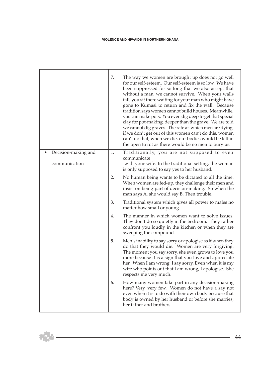┱

п

 $\mathbb{R}^{2}$ 

|                                      | 7. | The way we women are brought up does not go well<br>for our self-esteem. Our self-esteem is so low. We have<br>been suppressed for so long that we also accept that<br>without a man, we cannot survive. When your walls<br>fall, you sit there waiting for your man who might have<br>gone to Kumasi to return and fix the wall. Because<br>tradition says women cannot build houses. Meanwhile,<br>you can make pots. You even dig deep to get that special<br>clay for pot-making, deeper than the grave. We are told<br>we cannot dig graves. The rate at which men are dying,<br>if we don't get out of this women can't do this, women<br>can't do that, when we die, our bodies would be left in<br>the open to rot as there would be no men to bury us. |
|--------------------------------------|----|-----------------------------------------------------------------------------------------------------------------------------------------------------------------------------------------------------------------------------------------------------------------------------------------------------------------------------------------------------------------------------------------------------------------------------------------------------------------------------------------------------------------------------------------------------------------------------------------------------------------------------------------------------------------------------------------------------------------------------------------------------------------|
| Decision-making and<br>communication | 1. | Traditionally, you are not supposed to even<br>communicate<br>with your wife. In the traditional setting, the woman<br>is only supposed to say yes to her husband.                                                                                                                                                                                                                                                                                                                                                                                                                                                                                                                                                                                              |
|                                      | 2. | No human being wants to be dictated to all the time.<br>When women are fed-up, they challenge their men and<br>insist on being part of decision-making. So when the<br>man says A, she would say B. Then trouble.                                                                                                                                                                                                                                                                                                                                                                                                                                                                                                                                               |
|                                      | 3. | Traditional system which gives all power to males no<br>matter how small or young.                                                                                                                                                                                                                                                                                                                                                                                                                                                                                                                                                                                                                                                                              |
|                                      | 4. | The manner in which women want to solve issues.<br>They don't do so quietly in the bedroom. They rather<br>confront you loudly in the kitchen or when they are<br>sweeping the compound.                                                                                                                                                                                                                                                                                                                                                                                                                                                                                                                                                                        |
|                                      | 5. | Men's inability to say sorry or apologise as if when they<br>do that they would die. Women are very forgiving.<br>The moment you say sorry, she even grows to love you<br>more because it is a sign that you love and appreciate<br>her. When I am wrong, I say sorry. Even when it is my<br>wife who points out that I am wrong, I apologise. She<br>respects me very much.                                                                                                                                                                                                                                                                                                                                                                                    |
|                                      | 6. | How many women take part in any decision-making<br>here? Very, very few. Women do not have a say not<br>even when it is to do with their own body because that<br>body is owned by her husband or before she marries,<br>her father and brothers.                                                                                                                                                                                                                                                                                                                                                                                                                                                                                                               |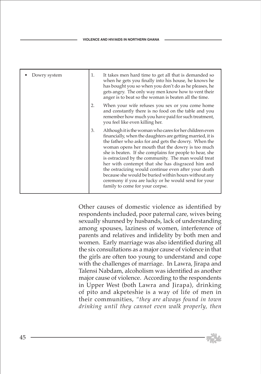| Dowry system | 1. | It takes men hard time to get all that is demanded so<br>when he gets you finally into his house, he knows he<br>has bought you so when you don't do as he pleases, he<br>gets angry. The only way men know how to vent their<br>anger is to beat so the woman is beaten all the time.                                                                                                                                                                                                                                                                                                                             |
|--------------|----|--------------------------------------------------------------------------------------------------------------------------------------------------------------------------------------------------------------------------------------------------------------------------------------------------------------------------------------------------------------------------------------------------------------------------------------------------------------------------------------------------------------------------------------------------------------------------------------------------------------------|
|              | 2. | When your wife refuses you sex or you come home<br>and constantly there is no food on the table and you<br>remember how much you have paid for such treatment,<br>you feel like even killing her.                                                                                                                                                                                                                                                                                                                                                                                                                  |
|              | 3. | Although it is the woman who cares for her children even<br>financially, when the daughters are getting married, it is<br>the father who asks for and gets the dowry. When the<br>woman opens her mouth that the dowry is too much<br>she is beaten. If she complains for people to hear, she<br>is ostracized by the community. The man would treat<br>her with contempt that she has disgraced him and<br>the ostracizing would continue even after your death<br>because she would be buried within hours without any<br>ceremony if you are lucky or he would send for your<br>family to come for your corpse. |

Other causes of domestic violence as identified by respondents included, poor paternal care, wives being sexually shunned by husbands, lack of understanding among spouses, laziness of women, interference of parents and relatives and infidelity by both men and women. Early marriage was also identified during all the six consultations as a major cause of violence in that the girls are often too young to understand and cope with the challenges of marriage. In Lawra, Jirapa and Talensi Nabdam, alcoholism was identified as another major cause of violence. According to the respondents in Upper West (both Lawra and Jirapa), drinking of pito and akpeteshie is a way of life of men in their communities, *"they are always found in town drinking until they cannot even walk properly, then*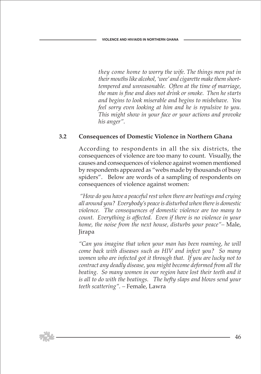*they come home to worry the wife. The things men put in their mouths like alcohol, 'wee' and cigarette make them shorttempered and unreasonable. Often at the time of marriage, the man is fine and does not drink or smoke. Then he starts and begins to look miserable and begins to misbehave. You feel sorry even looking at him and he is repulsive to you. This might show in your face or your actions and provoke his anger".*

### **3.2 Consequences of Domestic Violence in Northern Ghana**

 According to respondents in all the six districts, the consequences of violence are too many to count. Visually, the causes and consequences of violence against women mentioned by respondents appeared as "webs made by thousands of busy spiders". Below are words of a sampling of respondents on consequences of violence against women:

 *"How do you have a peaceful rest when there are beatings and crying all around you? Everybody's peace is disturbed when there is domestic violence. The consequences of domestic violence are too many to count. Everything is affected. Even if there is no violence in your home, the noise from the next house, disturbs your peace"–* Male, Jirapa

 *"Can you imagine that when your man has been roaming, he will come back with diseases such as HIV and infect you? So many women who are infected got it through that. If you are lucky not to contract any deadly disease, you might become deformed from all the beating. So many women in our region have lost their teeth and it is all to do with the beatings. The hefty slaps and blows send your teeth scattering". –* Female, Lawra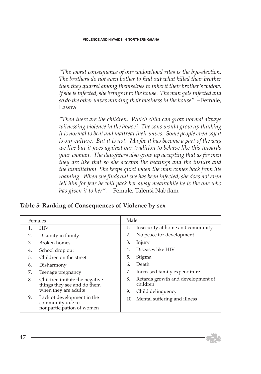*"The worst consequence of our widowhood rites is the bye-election. The brothers do not even bother to find out what killed their brother then they quarrel among themselves to inherit their brother's widow. If she is infected, she brings it to the house. The man gets infected and so do the other wives minding their business in the house".* – Female, Lawra

 *"Then there are the children. Which child can grow normal always witnessing violence in the house? The sons would grow up thinking it is normal to beat and maltreat their wives. Some people even say it is our culture. But it is not. Maybe it has become a part of the way we live but it goes against our tradition to behave like this towards your woman. The daughters also grow up accepting that as for men they are like that so she accepts the beatings and the insults and the humiliation. She keeps quiet when the man comes back from his roaming. When she finds out she has been infected, she does not even tell him for fear he will pack her away meanwhile he is the one who has given it to her". –* Female, Talensi Nabdam

|  |  | Table 5: Ranking of Consequences of Violence by sex |  |  |
|--|--|-----------------------------------------------------|--|--|
|  |  |                                                     |  |  |

| Females |                                                                             | Male |                                               |  |
|---------|-----------------------------------------------------------------------------|------|-----------------------------------------------|--|
|         | <b>HIV</b>                                                                  | 1.   | Insecurity at home and community              |  |
| 2.      | Disunity in family                                                          | 2.   | No peace for development                      |  |
| 3.      | <b>Broken</b> homes                                                         | 3.   | Injury                                        |  |
| 4.      | School drop out                                                             | 4.   | Diseases like HIV                             |  |
| 5.      | Children on the street                                                      | 5.   | Stigma                                        |  |
| 6.      | Disharmony                                                                  | 6.   | Death                                         |  |
| 7.      | Teenage pregnancy                                                           | 7.   | Increased family expenditure                  |  |
| 8.      | Children imitate the negative<br>things they see and do them                | 8.   | Retards growth and development of<br>children |  |
|         | when they are adults                                                        | 9.   | Child delinquency                             |  |
| 9.      | Lack of development in the<br>community due to<br>nonparticipation of women |      | 10. Mental suffering and illness              |  |

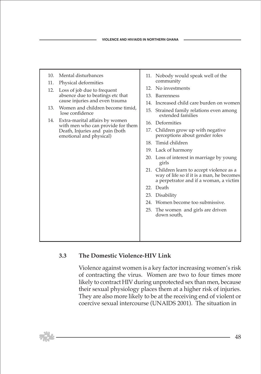| 10. | Mental disturbances                                                     | 11. Nobody would speak well of the                                                                                                |
|-----|-------------------------------------------------------------------------|-----------------------------------------------------------------------------------------------------------------------------------|
| 11. | Physical deformities                                                    | community                                                                                                                         |
|     | 12. Loss of job due to frequent                                         | 12. No investments                                                                                                                |
|     | absence due to beatings etc that                                        | 13. Barrenness                                                                                                                    |
|     | cause injuries and even trauma                                          | 14. Increased child care burden on women                                                                                          |
| 13. | Women and children become timid,<br>lose confidence                     | 15. Strained family relations even among<br>extended families                                                                     |
|     | 14. Extra-marital affairs by women<br>with men who can provide for them | 16. Deformities                                                                                                                   |
|     | Death, Injuries and pain (both<br>emotional and physical)               | 17. Children grow up with negative<br>perceptions about gender roles                                                              |
|     |                                                                         | 18. Timid children                                                                                                                |
|     |                                                                         | 19. Lack of harmony                                                                                                               |
|     |                                                                         | 20. Loss of interest in marriage by young<br>girls                                                                                |
|     |                                                                         | 21. Children learn to accept violence as a<br>way of life so if it is a man, he becomes<br>a perpetrator and if a woman, a victim |
|     |                                                                         | 22. Death                                                                                                                         |
|     |                                                                         | 23. Disability                                                                                                                    |
|     |                                                                         | 24. Women become too submissive.                                                                                                  |
|     |                                                                         | 25. The women and girls are driven<br>down south,                                                                                 |
|     |                                                                         |                                                                                                                                   |
|     |                                                                         |                                                                                                                                   |
|     |                                                                         |                                                                                                                                   |

# **3.3 The Domestic Violence-HIV Link**

 Violence against women is a key factor increasing women's risk of contracting the virus. Women are two to four times more likely to contract HIV during unprotected sex than men, because their sexual physiology places them at a higher risk of injuries. They are also more likely to be at the receiving end of violent or coercive sexual intercourse (UNAIDS 2001). The situation in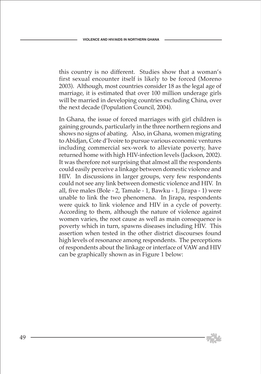this country is no different. Studies show that a woman's first sexual encounter itself is likely to be forced (Moreno 2003). Although, most countries consider 18 as the legal age of marriage, it is estimated that over 100 million underage girls will be married in developing countries excluding China, over the next decade (Population Council, 2004).

 In Ghana, the issue of forced marriages with girl children is gaining grounds, particularly in the three northern regions and shows no signs of abating. Also, in Ghana, women migrating to Abidjan, Cote d'Ivoire to pursue various economic ventures including commercial sex-work to alleviate poverty, have returned home with high HIV-infection levels (Jackson, 2002). It was therefore not surprising that almost all the respondents could easily perceive a linkage between domestic violence and HIV. In discussions in larger groups, very few respondents could not see any link between domestic violence and HIV. In all, five males (Bole - 2, Tamale - 1, Bawku - 1, Jirapa - 1) were unable to link the two phenomena. In Jirapa, respondents were quick to link violence and HIV in a cycle of poverty. According to them, although the nature of violence against women varies, the root cause as well as main consequence is poverty which in turn, spawns diseases including HIV. This assertion when tested in the other district discourses found high levels of resonance among respondents. The perceptions of respondents about the linkage or interface of VAW and HIV can be graphically shown as in Figure 1 below: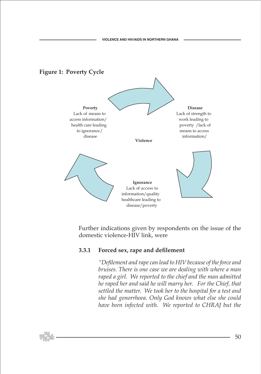# **Figure 1: Poverty Cycle**



 Further indications given by respondents on the issue of the domestic violence-HIV link, were

### **3.3.1 Forced sex, rape and defilement**

 *"Defilement and rape can lead to HIV because of the force and bruises. There is one case we are dealing with where a man raped a girl. We reported to the chief and the man admitted he raped her and said he will marry her. For the Chief, that settled the matter. We took her to the hospital for a test and she had gonorrhoea. Only God knows what else she could have been infected with. We reported to CHRAJ but the*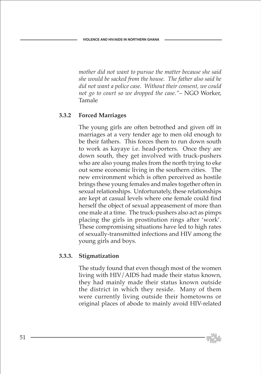*mother did not want to pursue the matter because she said she would be sacked from the house. The father also said he did not want a police case. Without their consent, we could not go to court so we dropped the case."*– NGO Worker, Tamale

# **3.3.2 Forced Marriages**

 The young girls are often betrothed and given off in marriages at a very tender age to men old enough to be their fathers. This forces them to run down south to work as kayaye i.e. head-porters. Once they are down south, they get involved with truck-pushers who are also young males from the north trying to eke out some economic living in the southern cities. The new environment which is often perceived as hostile brings these young females and males together often in sexual relationships. Unfortunately, these relationships are kept at casual levels where one female could find herself the object of sexual appeasement of more than one male at a time. The truck-pushers also act as pimps placing the girls in prostitution rings after 'work'. These compromising situations have led to high rates of sexually-transmitted infections and HIV among the young girls and boys.

# **3.3.3. Stigmatization**

 The study found that even though most of the women living with HIV/AIDS had made their status known, they had mainly made their status known outside the district in which they reside. Many of them were currently living outside their hometowns or original places of abode to mainly avoid HIV-related

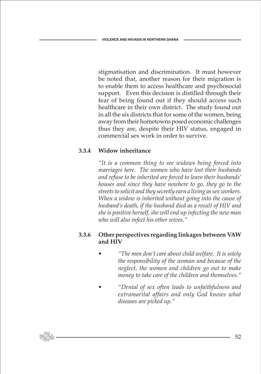stigmatisation and discrimination. It must however be noted that, another reason for their migration is to enable them to access healthcare and psychosocial support. Even this decision is distilled through their fear of being found out if they should access such healthcare in their own district. The study found out in all the six districts that for some of the women, being away from their hometowns posed economic challenges thus they are, despite their HIV status, engaged in commercial sex work in order to survive.

### **3.3.4 Widow inheritance**

 *"It is a common thing to see widows being forced into marriages here. The women who have lost their husbands and refuse to be inherited are forced to leave their husbands' houses and since they have nowhere to go, they go to the streets to solicit and they secretly earn a living as sex workers. When a widow is inherited without going into the cause of husband's death, if the husband died as a result of HIV and she is positive herself, she will end up infecting the new man who will also infect his other wives."*

### **3.3.6 Other perspectives regarding linkages between VAW and HIV**

- *"The men don't care about child welfare. It is solely the responsibility of the woman and because of the neglect, the women and children go out to make money to take care of the children and themselves."*
- *"Denial of sex often leads to unfaithfulness and extramarital affairs and only God knows what diseases are picked up."*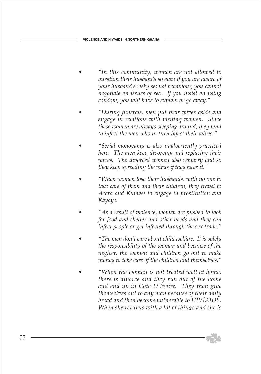- *"In this community, women are not allowed to question their husbands so even if you are aware of your husband's risky sexual behaviour, you cannot negotiate on issues of sex. If you insist on using condom, you will have to explain or go away."*
- *"During funerals, men put their wives aside and engage in relations with visiting women. Since these women are always sleeping around, they tend to infect the men who in turn infect their wives."*
- *"Serial monogamy is also inadvertently practiced here. The men keep divorcing and replacing their wives. The divorced women also remarry and so they keep spreading the virus if they have it."*
- *"When women lose their husbands, with no one to take care of them and their children, they travel to Accra and Kumasi to engage in prostitution and Kayaye."*
- *"As a result of violence, women are pushed to look for food and shelter and other needs and they can infect people or get infected through the sex trade."*
- *"The men don't care about child welfare. It is solely the responsibility of the woman and because of the neglect, the women and children go out to make money to take care of the children and themselves."*
- *"When the woman is not treated well at home, there is divorce and they run out of the home and end up in Cote D'Ivoire. They then give themselves out to any man because of their daily bread and then become vulnerable to HIV/AIDS. When she returns with a lot of things and she is*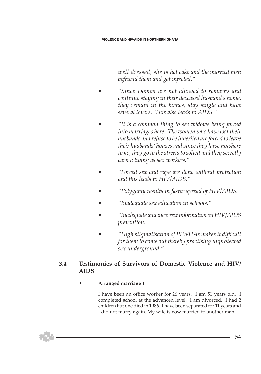*well dressed, she is hot cake and the married men befriend them and get infected."*

- *"Since women are not allowed to remarry and continue staying in their deceased husband's home, they remain in the homes, stay single and have several lovers. This also leads to AIDS."*
- *"It is a common thing to see widows being forced into marriages here. The women who have lost their husbands and refuse to be inherited are forced to leave their husbands' houses and since they have nowhere to go, they go to the streets to solicit and they secretly earn a living as sex workers."*
- *"Forced sex and rape are done without protection and this leads to HIV/AIDS."*
- *"Polygamy results in faster spread of HIV/AIDS."*
- *"Inadequate sex education in schools."*
- *"Inadequate and incorrect information on HIV/AIDS prevention."*
- *"High stigmatisation of PLWHAs makes it difficult for them to come out thereby practising unprotected sex underground."*

### **3.4 Testimonies of Survivors of Domestic Violence and HIV/ AIDS**

### **• Arranged marriage 1**

 I have been an office worker for 26 years. I am 51 years old. I completed school at the advanced level. I am divorced. I had 2 children but one died in 1986. I have been separated for 11 years and I did not marry again. My wife is now married to another man.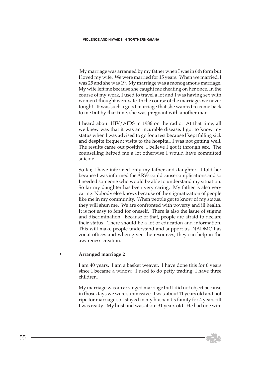My marriage was arranged by my father when I was in 6th form but I loved my wife. We were married for 15 years. When we married, I was 25 and she was 19. My marriage was a monogamous marriage. My wife left me because she caught me cheating on her once. In the course of my work, I used to travel a lot and I was having sex with women I thought were safe. In the course of the marriage, we never fought. It was such a good marriage that she wanted to come back to me but by that time, she was pregnant with another man.

 I heard about HIV/AIDS in 1986 on the radio. At that time, all we knew was that it was an incurable disease. I got to know my status when I was advised to go for a test because I kept falling sick and despite frequent visits to the hospital, I was not getting well. The results came out positive. I believe I got it through sex. The counselling helped me a lot otherwise I would have committed suicide.

 So far, I have informed only my father and daughter. I told her because I was informed the ARVs could cause complications and so I needed someone who would be able to understand my situation. So far my daughter has been very caring. My father is also very caring. Nobody else knows because of the stigmatization of people like me in my community. When people get to know of my status, they will shun me. We are confronted with poverty and ill health. It is not easy to fend for oneself. There is also the issue of stigma and discrimination. Because of that, people are afraid to declare their status. There should be a lot of education and information. This will make people understand and support us. NADMO has zonal offices and when given the resources, they can help in the awareness creation.

#### **• Arranged marriage 2**

 I am 40 years. I am a basket weaver. I have done this for 6 years since I became a widow. I used to do petty trading. I have three children.

 My marriage was an arranged marriage but I did not object because in those days we were submissive. I was about 11 years old and not ripe for marriage so I stayed in my husband's family for 4 years till I was ready. My husband was about 31 years old. He had one wife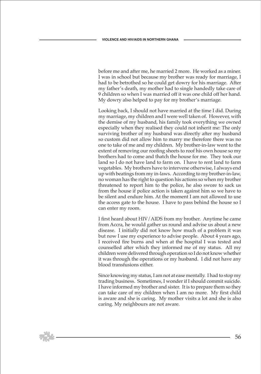before me and after me, he married 2 more. He worked as a miner. I was in school but because my brother was ready for marriage, I had to be betrothed so he could get dowry for his marriage. After my father's death, my mother had to single handedly take care of 9 children so when I was married off it was one child off her hand. My dowry also helped to pay for my brother's marriage.

 Looking back, I should not have married at the time I did. During my marriage, my children and I were well taken of. However, with the demise of my husband, his family took everything we owned especially when they realised they could not inherit me: The only surviving brother of my husband was directly after my husband so custom did not allow him to marry me therefore there was no one to take of me and my children. My brother-in-law went to the extent of removing our roofing sheets to roof his own house so my brothers had to come and thatch the house for me. They took our land so I do not have land to farm on. I have to rent land to farm vegetables. My brothers have to intervene otherwise, I always end up with beatings from my in-laws. According to my brother-in-law, no woman has the right to question his actions so when my brother threatened to report him to the police, he also swore to sack us from the house if police action is taken against him so we have to be silent and endure him. At the moment I am not allowed to use the access gate to the house. I have to pass behind the house so I can enter my room.

 I first heard about HIV/AIDS from my brother. Anytime he came from Accra, he would gather us round and advise us about a new disease. I initially did not know how much of a problem it was but now I use my experience to advise people. About 4 years ago, I received fire burns and when at the hospital I was tested and counselled after which they informed me of my status. All my children were delivered through operation so I do not know whether it was through the operations or my husband. I did not have any blood transfusions either.

 Since knowing my status, I am not at ease mentally. I had to stop my trading business. Sometimes, I wonder if I should commit suicide. I have informed my brother and sister. It is to prepare them so they can take care of my children when I am no more. My first child is aware and she is caring. My mother visits a lot and she is also caring. My neighbours are not aware.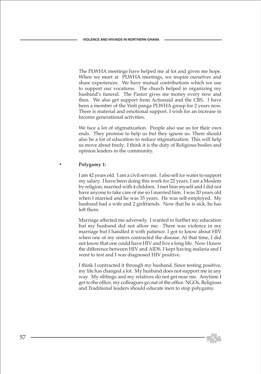The PLWHA meetings have helped me al lot and given me hope. When we meet at PLWHA meetings, we inspire ourselves and share experiences. We have mutual contributions which we use to support our vocations. The church helped in organizing my husband's funeral. The Pastor gives me money every now and then. We also get support from Actionaid and the CRS. I have been a member of the Yinli panga PLWHA group for 2 years now. There is material and emotional support. I wish for an increase in Income generational activities.

 We face a lot of stigmatization. People also use us for their own ends. They promise to help us but they ignore us. There should also be a lot of education to reduce stigmatization. This will help us move about freely. I think it is the duty of Religious bodies and opinion leaders in the community.

#### **• Polygamy 1:**

 I am 42 years old. I am a civil servant. I also sell ice water to support my salary. I have been doing this work for 22 years. I am a Moslem by religion, married with 4 children. I met him myself and I did not have anyone to take care of me so I married him. I was 20 years old when I married and he was 35 years. He was self-employed. My husband had a wife and 2 girlfriends. Now that he is sick, he has left them.

 Marriage affected me adversely. I wanted to further my education but my husband did not allow me. There was violence in my marriage but I handled it with patience. I got to know about HIV when one of my sisters contracted the disease. At that time, I did not know that one could have HIV and live a long life. Now I know the difference between HIV and AIDS. I kept having malaria and I went to test and I was diagnosed HIV positive.

 I think I contracted it through my husband. Since testing positive, my life has changed a lot. My husband does not support me in any way. My siblings and my relatives do not get near me. Anytime I get to the office, my colleagues go out of the office. NGOs, Religious and Traditional leaders should educate men to stop polygamy.

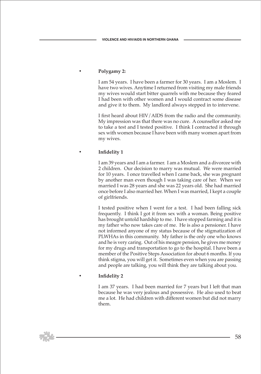### **• Polygamy 2:**

 I am 54 years. I have been a farmer for 30 years. I am a Moslem. I have two wives. Anytime I returned from visiting my male friends my wives would start bitter quarrels with me because they feared I had been with other women and I would contract some disease and give it to them. My landlord always stepped in to intervene.

 I first heard about HIV/AIDS from the radio and the community. My impression was that there was no cure. A counsellor asked me to take a test and I tested positive. I think I contracted it through sex with women because I have been with many women apart from my wives.

#### **• Infidelity 1**

 I am 39 years and I am a farmer. I am a Moslem and a divorcee with 2 children. Our decision to marry was mutual. We were married for 10 years. I once travelled when I came back, she was pregnant by another man even though I was taking care of her. When we married I was 28 years and she was 22 years old. She had married once before I also married her. When I was married, I kept a couple of girlfriends.

 I tested positive when I went for a test. I had been falling sick frequently. I think I got it from sex with a woman. Being positive has brought untold hardship to me. I have stopped farming and it is my father who now takes care of me. He is also a pensioner. I have not informed anyone of my status because of the stigmatization of PLWHAs in this community. My father is the only one who knows and he is very caring. Out of his meagre pension, he gives me money for my drugs and transportation to go to the hospital. I have been a member of the Positive Steps Association for about 6 months. If you think stigma, you will get it. Sometimes even when you are passing and people are talking, you will think they are talking about you.

#### **• Infidelity 2**

 I am 37 years. I had been married for 7 years but I left that man because he was very jealous and possessive. He also used to beat me a lot. He had children with different women but did not marry them.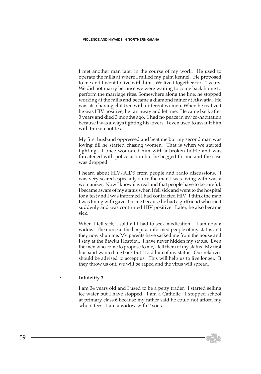I met another man later in the course of my work. He used to operate the mills at where I milled my palm kennel. He proposed to me and I went to live with him. We lived together for 11 years. We did not marry because we were waiting to come back home to perform the marriage rites. Somewhere along the line, he stopped working at the mills and became a diamond miner at Akwatia. He was also having children with different women. When he realized he was HIV positive, he ran away and left me. He came back after 3 years and died 3 months ago. I had no peace in my co-habitation because I was always fighting his lovers. I even used to assault him with broken bottles.

 My first husband oppressed and beat me but my second man was loving till he started chasing women. That is when we started fighting. I once wounded him with a broken bottle and was threatened with police action but he begged for me and the case was dropped.

 I heard about HIV/AIDS from people and radio discussions. I was very scared especially since the man I was living with was a womanizer. Now I know it is real and that people have to be careful. I became aware of my status when I fell sick and went to the hospital for a test and I was informed I had contracted HIV. I think the man I was living with gave it to me because he had a girlfriend who died suddenly and was confirmed HIV positive. Later, he also became sick.

 When I fell sick, I sold all I had to seek medication. I am now a widow. The nurse at the hospital informed people of my status and they now shun me. My parents have sacked me from the house and I stay at the Bawku Hospital. I have never hidden my status. Even the men who come to propose to me, I tell them of my status. My first husband wanted me back but I told him of my status. Our relatives should be advised to accept us. This will help us to live longer. If they throw us out, we will be raped and the virus will spread.

### **• Infidelity 3**

 I am 34 years old and I used to be a petty trader. I started selling ice water but I have stopped. I am a Catholic. I stopped school at primary class 6 because my father said he could not afford my school fees. I am a widow with 2 sons.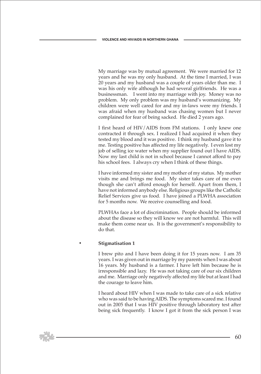My marriage was by mutual agreement. We were married for 12 years and he was my only husband. At the time I married, I was 20 years and my husband was a couple of years older than me. I was his only wife although he had several girlfriends. He was a businessman. I went into my marriage with joy. Money was no problem. My only problem was my husband's womanizing. My children were well cared for and my in-laws were my friends. I was afraid when my husband was chasing women but I never complained for fear of being sacked. He died 2 years ago.

 I first heard of HIV/AIDS from FM stations. I only knew one contracted it through sex. I realized I had acquired it when they tested my blood and it was positive. I think my husband gave it to me. Testing positive has affected my life negatively. I even lost my job of selling ice water when my supplier found out I have AIDS. Now my last child is not in school because I cannot afford to pay his school fees. I always cry when I think of these things.

 I have informed my sister and my mother of my status. My mother visits me and brings me food. My sister takes care of me even though she can't afford enough for herself. Apart from them, I have not informed anybody else. Religious groups like the Catholic Relief Services give us food. I have joined a PLWHA association for 5 months now. We receive counselling and food.

 PLWHAs face a lot of discrimination. People should be informed about the disease so they will know we are not harmful. This will make them come near us. It is the government's responsibility to do that.

#### **• Stigmatisation 1**

 I brew pito and I have been doing it for 15 years now. I am 35 years. I was given out in marriage by my parents when I was about 16 years. My husband is a farmer. I have left him because he is irresponsible and lazy. He was not taking care of our six children and me. Marriage only negatively affected my life but at least I had the courage to leave him.

 I heard about HIV when I was made to take care of a sick relative who was said to be having AIDS. The symptoms scared me. I found out in 2005 that I was HIV positive through laboratory test after being sick frequently. I know I got it from the sick person I was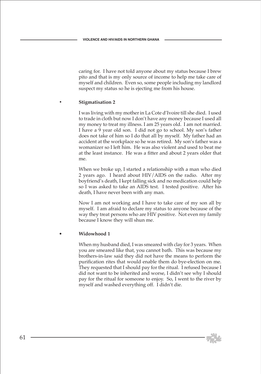caring for. I have not told anyone about my status because I brew pito and that is my only source of income to help me take care of myself and children. Even so, some people including my landlord suspect my status so he is ejecting me from his house.

#### **• Stigmatisation 2**

 I was living with my mother in La Cote d'Ivoire till she died. I used to trade in cloth but now I don't have any money because I used all my money to treat my illness. I am 25 years old. I am not married. I have a 9 year old son. I did not go to school. My son's father does not take of him so I do that all by myself. My father had an accident at the workplace so he was retired. My son's father was a womanizer so I left him. He was also violent and used to beat me at the least instance. He was a fitter and about 2 years older that me.

 When we broke up, I started a relationship with a man who died 2 years ago. I heard about HIV/AIDS on the radio. After my boyfriend's death, I kept falling sick and no medication could help so I was asked to take an AIDS test. I tested positive. After his death, I have never been with any man.

 Now I am not working and I have to take care of my son all by myself. I am afraid to declare my status to anyone because of the way they treat persons who are HIV positive. Not even my family because I know they will shun me.

#### • **Widowhood 1**

 When my husband died, I was smeared with clay for 3 years. When you are smeared like that, you cannot bath. This was because my brothers-in-law said they did not have the means to perform the purification rites that would enable them do bye-election on me. They requested that I should pay for the ritual. I refused because I did not want to be inherited and worse, I didn't see why I should pay for the ritual for someone to enjoy. So, I went to the river by myself and washed everything off. I didn't die.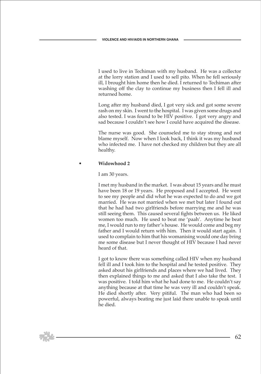I used to live in Techiman with my husband. He was a collector at the lorry station and I used to sell pito. When he fell seriously ill, I brought him home then he died. I returned to Techiman after washing off the clay to continue my business then I fell ill and returned home.

 Long after my husband died, I got very sick and got some severe rash on my skin. I went to the hospital. I was given some drugs and also tested. I was found to be HIV positive. I got very angry and sad because I couldn't see how I could have acquired the disease.

 The nurse was good. She counseled me to stay strong and not blame myself. Now when I look back, I think it was my husband who infected me. I have not checked my children but they are all healthy.

#### • **Widowhood 2**

I am 30 years.

 I met my husband in the market. I was about 15 years and he must have been 18 or 19 years. He proposed and I accepted. He went to see my people and did what he was expected to do and we got married. He was not married when we met but later I found out that he had had two girlfriends before marrying me and he was still seeing them. This caused several fights between us. He liked women too much. He used to beat me 'paah'. Anytime he beat me, I would run to my father's house. He would come and beg my father and I would return with him. Then it would start again. I used to complain to him that his womanising would one day bring me some disease but I never thought of HIV because I had never heard of that.

 I got to know there was something called HIV when my husband fell ill and I took him to the hospital and he tested positive. They asked about his girlfriends and places where we had lived. They then explained things to me and asked that I also take the test. I was positive. I told him what he had done to me. He couldn't say anything because at that time he was very ill and couldn't speak. He died shortly after. Very pitiful. The man who had been so powerful, always beating me just laid there unable to speak until he died.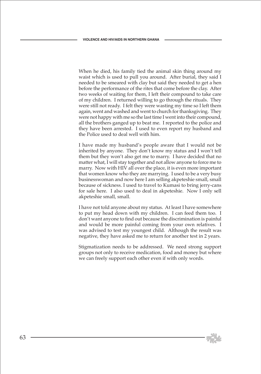When he died, his family tied the animal skin thing around my waist which is used to pull you around. After burial, they said I needed to be smeared with clay but said they needed to get a hen before the performance of the rites that come before the clay. After two weeks of waiting for them, I left their compound to take care of my children. I returned willing to go through the rituals. They were still not ready. I felt they were wasting my time so I left them again, went and washed and went to church for thanksgiving. They were not happy with me so the last time I went into their compound, all the brothers ganged up to beat me. I reported to the police and they have been arrested. I used to even report my husband and the Police used to deal well with him.

 I have made my husband's people aware that I would not be inherited by anyone. They don't know my status and I won't tell them but they won't also get me to marry. I have decided that no matter what, I will stay together and not allow anyone to force me to marry. Now with HIV all over the place, it is even more important that women know who they are marrying. I used to be a very busy businesswoman and now here I am selling akpeteshie small, small because of sickness. I used to travel to Kumasi to bring jerry-cans for sale here. I also used to deal in akpeteshie. Now I only sell akpeteshie small, small.

 I have not told anyone about my status. At least I have somewhere to put my head down with my children. I can feed them too. I don't want anyone to find out because the discrimination is painful and would be more painful coming from your own relatives. I was advised to test my youngest child. Although the result was negative, they have asked me to return for another test in 2 years.

 Stigmatization needs to be addressed. We need strong support groups not only to receive medication, food and money but where we can freely support each other even if with only words.

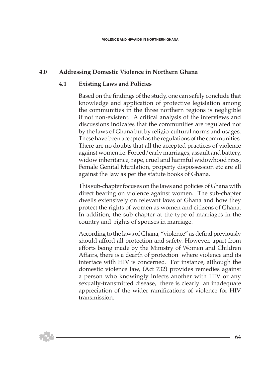### **4.0 Addressing Domestic Violence in Northern Ghana**

### **4.1 Existing Laws and Policies**

 Based on the findings of the study, one can safely conclude that knowledge and application of protective legislation among the communities in the three northern regions is negligible if not non-existent. A critical analysis of the interviews and discussions indicates that the communities are regulated not by the laws of Ghana but by religio-cultural norms and usages. These have been accepted as the regulations of the communities. There are no doubts that all the accepted practices of violence against women i.e. Forced/early marriages, assault and battery, widow inheritance, rape, cruel and harmful widowhood rites, Female Genital Mutilation, property dispossession etc are all against the law as per the statute books of Ghana.

 This sub-chapter focuses on the laws and policies of Ghana with direct bearing on violence against women. The sub-chapter dwells extensively on relevant laws of Ghana and how they protect the rights of women as women and citizens of Ghana. In addition, the sub-chapter at the type of marriages in the country and rights of spouses in marriage.

 According to the laws of Ghana, "violence" as defind previously should afford all protection and safety. However, apart from efforts being made by the Ministry of Women and Children Affairs, there is a dearth of protection where violence and its interface with HIV is concerned. For instance, although the domestic violence law, (Act 732) provides remedies against a person who knowingly infects another with HIV or any sexually-transmitted disease, there is clearly an inadequate appreciation of the wider ramifications of violence for HIV transmission.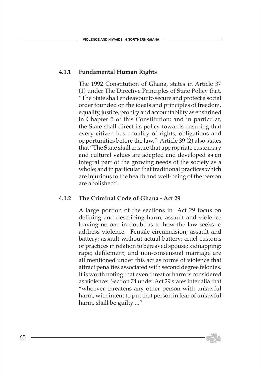### **4.1.1 Fundamental Human Rights**

 The 1992 Constitution of Ghana, states in Article 37 (1) under The Directive Principles of State Policy that, "The State shall endeavour to secure and protect a social order founded on the ideals and principles of freedom, equality, justice, probity and accountability as enshrined in Chapter 5 of this Constitution; and in particular, the State shall direct its policy towards ensuring that every citizen has equality of rights, obligations and opportunities before the law." Article 39 (2) also states that "The State shall ensure that appropriate customary and cultural values are adapted and developed as an integral part of the growing needs of the society as a whole; and in particular that traditional practices which are injurious to the health and well-being of the person are abolished".

### **4.1.2 The Criminal Code of Ghana - Act 29**

 A large portion of the sections in Act 29 focus on defining and describing harm, assault and violence leaving no one in doubt as to how the law seeks to address violence. Female circumcision; assault and battery; assault without actual battery; cruel customs or practices in relation to bereaved spouse; kidnapping; rape; defilement; and non-consensual marriage are all mentioned under this act as forms of violence that attract penalties associated with second degree felonies. It is worth noting that even threat of harm is considered as violence: Section 74 under Act 29 states inter alia that "whoever threatens any other person with unlawful harm, with intent to put that person in fear of unlawful harm, shall be guilty ..."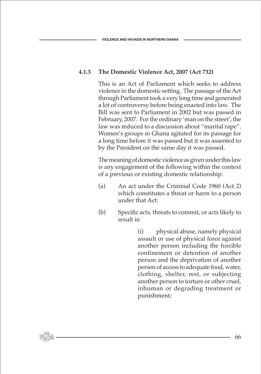### **4.1.3 The Domestic Violence Act, 2007 (Act 732)**

 This is an Act of Parliament which seeks to address violence in the domestic setting. The passage of the Act through Parliament took a very long time and generated a lot of controversy before being enacted into law. The Bill was sent to Parliament in 2002 but was passed in February, 2007. For the ordinary 'man on the street', the law was reduced to a discussion about "marital rape". Women's groups in Ghana agitated for its passage for a long time before it was passed but it was assented to by the President on the same day it was passed.

 The meaning of domestic violence as given under this law is any engagement of the following within the context of a previous or existing domestic relationship:

- (a) An act under the Criminal Code 1960 (Act 2) which constitutes a threat or harm to a person under that Act:
- (b) Specific acts, threats to commit, or acts likely to result in

(i) physical abuse, namely physical assault or use of physical force against another person including the forcible confinement or detention of another person and the deprivation of another person of access to adequate food, water, clothing, shelter, rest, or subjecting another person to torture or other cruel, inhuman or degrading treatment or punishment;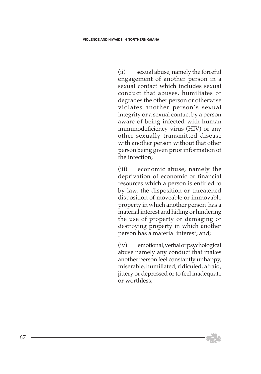(ii) sexual abuse, namely the forceful engagement of another person in a sexual contact which includes sexual conduct that abuses, humiliates or degrades the other person or otherwise violates another person's sexual integrity or a sexual contact by a person aware of being infected with human immunodeficiency virus (HIV) or any other sexually transmitted disease with another person without that other person being given prior information of the infection;

(iii) economic abuse, namely the deprivation of economic or financial resources which a person is entitled to by law, the disposition or threatened disposition of moveable or immovable property in which another person has a material interest and hiding or hindering the use of property or damaging or destroying property in which another person has a material interest; and;

(iv) emotional, verbal or psychological abuse namely any conduct that makes another person feel constantly unhappy, miserable, humiliated, ridiculed, afraid, jittery or depressed or to feel inadequate or worthless;

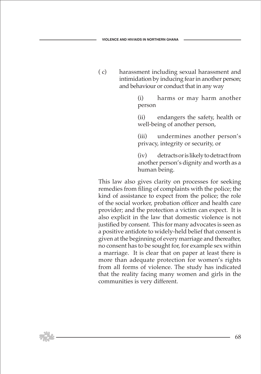( c) harassment including sexual harassment and intimidation by inducing fear in another person; and behaviour or conduct that in any way

> (i) harms or may harm another person

> (ii) endangers the safety, health or well-being of another person,

> (iii) undermines another person's privacy, integrity or security, or

> (iv) detracts or is likely to detract from another person's dignity and worth as a human being.

 This law also gives clarity on processes for seeking remedies from filing of complaints with the police; the kind of assistance to expect from the police; the role of the social worker, probation officer and health care provider; and the protection a victim can expect. It is also explicit in the law that domestic violence is not justified by consent. This for many advocates is seen as a positive antidote to widely-held belief that consent is given at the beginning of every marriage and thereafter, no consent has to be sought for, for example sex within a marriage. It is clear that on paper at least there is more than adequate protection for women's rights from all forms of violence. The study has indicated that the reality facing many women and girls in the communities is very different.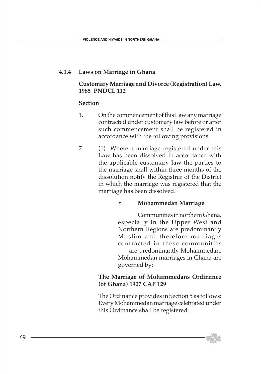### **4.1.4 Laws on Marriage in Ghana**

### **Customary Marriage and Divorce (Registration) Law, 1985 PNDCL 112**

### **Section**

- 1. On the commencement of this Law any marriage contracted under customary law before or after such commencement shall be registered in accordance with the following provisions.
- 7. (1) Where a marriage registered under this Law has been dissolved in accordance with the applicable customary law the parties to the marriage shall within three months of the dissolution notify the Registrar of the District in which the marriage was registered that the marriage has been dissolved.

### **• Mohammedan Marriage**

 Communities in northern Ghana, especially in the Upper West and Northern Regions are predominantly Muslim and therefore marriages contracted in these communities are predominantly Mohammedan. Mohammedan marriages in Ghana are governed by:

### **The Marriage of Mohammedans Ordinance (of Ghana) 1907 CAP 129**

 The Ordinance provides in Section 5 as follows: Every Mohammedan marriage celebrated under this Ordinance shall be registered.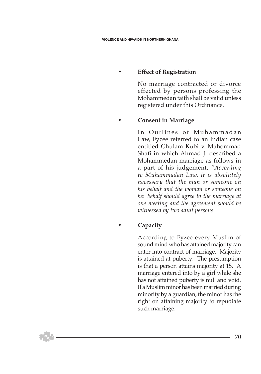# **• Effect of Registration**

 No marriage contracted or divorce effected by persons professing the Mohammedan faith shall be valid unless registered under this Ordinance.

### **• Consent in Marriage**

In Outlines of Muhammadan Law, Fyzee referred to an Indian case entitled Ghulam Kubi v. Mahommad Shafi in which Ahmad J. described a Mohammedan marriage as follows in a part of his judgement, *"According to Muhammadan Law, it is absolutely necessary that the man or someone on his behalf and the woman or someone on her behalf should agree to the marriage at one meeting and the agreement should be witnessed by two adult persons.*

# **• Capacity**

 According to Fyzee every Muslim of sound mind who has attained majority can enter into contract of marriage. Majority is attained at puberty. The presumption is that a person attains majority at 15. A marriage entered into by a girl while she has not attained puberty is null and void. If a Muslim minor has been married during minority by a guardian, the minor has the right on attaining majority to repudiate such marriage.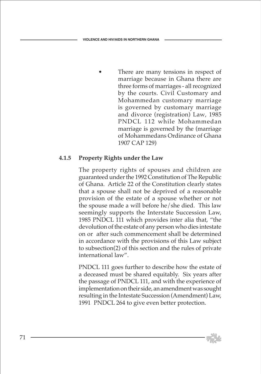There are many tensions in respect of marriage because in Ghana there are three forms of marriages - all recognized by the courts. Civil Customary and Mohammedan customary marriage is governed by customary marriage and divorce (registration) Law, 1985 PNDCL 112 while Mohammedan marriage is governed by the (marriage of Mohammedans Ordinance of Ghana 1907 CAP 129)

### **4.1.5 Property Rights under the Law**

 The property rights of spouses and children are guaranteed under the 1992 Constitution of The Republic of Ghana. Article 22 of the Constitution clearly states that a spouse shall not be deprived of a reasonable provision of the estate of a spouse whether or not the spouse made a will before he/she died. This law seemingly supports the Interstate Succession Law, 1985 PNDCL 111 which provides inter alia that, "the devolution of the estate of any person who dies intestate on or after such commencement shall be determined in accordance with the provisions of this Law subject to subsection(2) of this section and the rules of private international law".

 PNDCL 111 goes further to describe how the estate of a deceased must be shared equitably. Six years after the passage of PNDCL 111, and with the experience of implementation on their side, an amendment was sought resulting in the Intestate Succession (Amendment) Law, 1991 PNDCL 264 to give even better protection.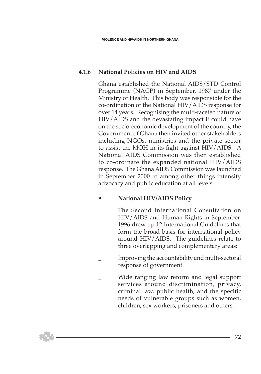# **4.1.6 National Policies on HIV and AIDS**

 Ghana established the National AIDS/STD Control Programme (NACP) in September, 1987 under the Ministry of Health. This body was responsible for the co-ordination of the National HIV/AIDS response for over 14 years. Recognising the multi-faceted nature of HIV/AIDS and the devastating impact it could have on the socio-economic development of the country, the Government of Ghana then invited other stakeholders including NGOs, ministries and the private sector to assist the MOH in its fight against HIV/AIDS. A National AIDS Commission was then established to co-ordinate the expanded national HIV/AIDS response. The Ghana AIDS Commission was launched in September 2000 to among other things intensify advocacy and public education at all levels.

### • **National HIV/AIDS Policy**

 The Second International Consultation on HIV/AIDS and Human Rights in September, 1996 drew up 12 International Guidelines that form the broad basis for international policy around HIV/AIDS. The guidelines relate to three overlapping and complementary areas:

- \_ Improving the accountability and multi-sectoral response of government.
- Wide ranging law reform and legal support services around discrimination, privacy, criminal law, public health, and the specific needs of vulnerable groups such as women, children, sex workers, prisoners and others.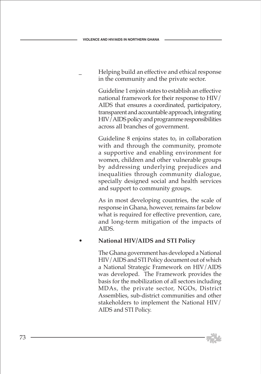\_ Helping build an effective and ethical response in the community and the private sector.

 Guideline 1 enjoin states to establish an effective national framework for their response to HIV/ AIDS that ensures a coordinated, participatory, transparent and accountable approach, integrating HIV/AIDS policy and programme responsibilities across all branches of government.

 Guideline 8 enjoins states to, in collaboration with and through the community, promote a supportive and enabling environment for women, children and other vulnerable groups by addressing underlying prejudices and inequalities through community dialogue, specially designed social and health services and support to community groups.

 As in most developing countries, the scale of response in Ghana, however, remains far below what is required for effective prevention, care, and long-term mitigation of the impacts of AIDS.

## • **National HIV/AIDS and STI Policy**

 The Ghana government has developed a National HIV/AIDS and STI Policy document out of which a National Strategic Framework on HIV/AIDS was developed. The Framework provides the basis for the mobilization of all sectors including MDAs, the private sector, NGOs, District Assemblies, sub-district communities and other stakeholders to implement the National HIV/ AIDS and STI Policy.

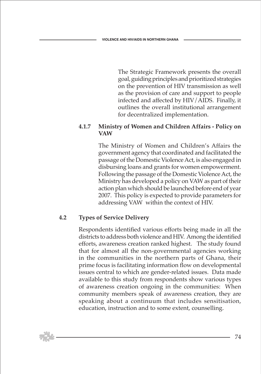The Strategic Framework presents the overall goal, guiding principles and prioritized strategies on the prevention of HIV transmission as well as the provision of care and support to people infected and affected by HIV/AIDS. Finally, it outlines the overall institutional arrangement for decentralized implementation.

#### **4.1.7 Ministry of Women and Children Affairs - Policy on VAW**

 The Ministry of Women and Children's Affairs the government agency that coordinated and facilitated the passage of the Domestic Violence Act, is also engaged in disbursing loans and grants for women empowerment. Following the passage of the Domestic Violence Act, the Ministry has developed a policy on VAW as part of their action plan which should be launched before end of year 2007. This policy is expected to provide parameters for addressing VAW within the context of HIV.

## **4.2 Types of Service Delivery**

 Respondents identified various efforts being made in all the districts to address both violence and HIV. Among the identified efforts, awareness creation ranked highest. The study found that for almost all the non-governmental agencies working in the communities in the northern parts of Ghana, their prime focus is facilitating information flow on developmental issues central to which are gender-related issues. Data made available to this study from respondents show various types of awareness creation ongoing in the communities: When community members speak of awareness creation, they are speaking about a continuum that includes sensitisation, education, instruction and to some extent, counselling.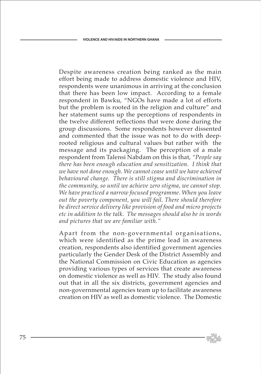Despite awareness creation being ranked as the main effort being made to address domestic violence and HIV, respondents were unanimous in arriving at the conclusion that there has been low impact. According to a female respondent in Bawku, "NGOs have made a lot of efforts but the problem is rooted in the religion and culture" and her statement sums up the perceptions of respondents in the twelve different reflections that were done during the group discussions. Some respondents however dissented and commented that the issue was not to do with deeprooted religious and cultural values but rather with the message and its packaging. The perception of a male respondent from Talensi Nabdam on this is that, *"People say there has been enough education and sensitization. I think that we have not done enough. We cannot cease until we have achieved behavioural change. There is still stigma and discrimination in the community, so until we achieve zero stigma, we cannot stop. We have practiced a narrow focused programme. When you leave out the poverty component, you will fail. There should therefore be direct service delivery like provision of food and micro projects etc in addition to the talk. The messages should also be in words and pictures that we are familiar with."*

 Apart from the non-governmental organisations, which were identified as the prime lead in awareness creation, respondents also identified government agencies particularly the Gender Desk of the District Assembly and the National Commission on Civic Education as agencies providing various types of services that create awareness on domestic violence as well as HIV. The study also found out that in all the six districts, government agencies and non-governmental agencies team up to facilitate awareness creation on HIV as well as domestic violence. The Domestic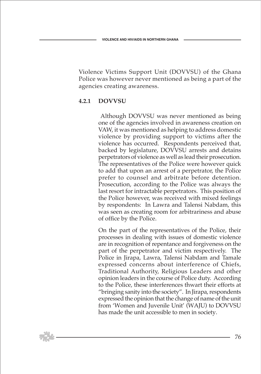Violence Victims Support Unit (DOVVSU) of the Ghana Police was however never mentioned as being a part of the agencies creating awareness.

#### **4.2.1 DOVVSU**

 Although DOVVSU was never mentioned as being one of the agencies involved in awareness creation on VAW, it was mentioned as helping to address domestic violence by providing support to victims after the violence has occurred. Respondents perceived that, backed by legislature, DOVVSU arrests and detains perpetrators of violence as well as lead their prosecution. The representatives of the Police were however quick to add that upon an arrest of a perpetrator, the Police prefer to counsel and arbitrate before detention. Prosecution, according to the Police was always the last resort for intractable perpetrators. This position of the Police however, was received with mixed feelings by respondents: In Lawra and Talensi Nabdam, this was seen as creating room for arbitrariness and abuse of office by the Police.

 On the part of the representatives of the Police, their processes in dealing with issues of domestic violence are in recognition of repentance and forgiveness on the part of the perpetrator and victim respectively. The Police in Jirapa, Lawra, Talensi Nabdam and Tamale expressed concerns about interference of Chiefs, Traditional Authority, Religious Leaders and other opinion leaders in the course of Police duty. According to the Police, these interferences thwart their efforts at "bringing sanity into the society". In Jirapa, respondents expressed the opinion that the change of name of the unit from 'Women and Juvenile Unit' (WAJU) to DOVVSU has made the unit accessible to men in society.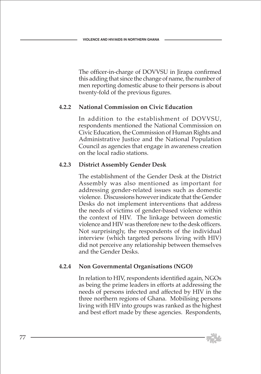The officer-in-charge of DOVVSU in Jirapa confirmed this adding that since the change of name, the number of men reporting domestic abuse to their persons is about twenty-fold of the previous figures.

#### **4.2.2 National Commission on Civic Education**

 In addition to the establishment of DOVVSU, respondents mentioned the National Commission on Civic Education, the Commission of Human Rights and Administrative Justice and the National Population Council as agencies that engage in awareness creation on the local radio stations.

## **4.2.3 District Assembly Gender Desk**

 The establishment of the Gender Desk at the District Assembly was also mentioned as important for addressing gender-related issues such as domestic violence. Discussions however indicate that the Gender Desks do not implement interventions that address the needs of victims of gender-based violence within the context of HIV. The linkage between domestic violence and HIV was therefore new to the desk officers. Not surprisingly, the respondents of the individual interview (which targeted persons living with HIV) did not perceive any relationship between themselves and the Gender Desks.

## **4.2.4 Non Governmental Organisations (NGO)**

 In relation to HIV, respondents identified again, NGOs as being the prime leaders in efforts at addressing the needs of persons infected and affected by HIV in the three northern regions of Ghana. Mobilising persons living with HIV into groups was ranked as the highest and best effort made by these agencies. Respondents,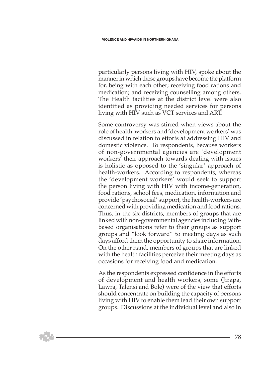particularly persons living with HIV, spoke about the manner in which these groups have become the platform for, being with each other; receiving food rations and medication; and receiving counselling among others. The Health facilities at the district level were also identified as providing needed services for persons living with HIV such as VCT services and ART.

 Some controversy was stirred when views about the role of health-workers and 'development workers' was discussed in relation to efforts at addressing HIV and domestic violence. To respondents, because workers of non-governmental agencies are 'development workers' their approach towards dealing with issues is holistic as opposed to the 'singular' approach of health-workers. According to respondents, whereas the 'development workers' would seek to support the person living with HIV with income-generation, food rations, school fees, medication, information and provide 'psychosocial' support, the health-workers are concerned with providing medication and food rations. Thus, in the six districts, members of groups that are linked with non-governmental agencies including faithbased organisations refer to their groups as support groups and "look forward" to meeting days as such days afford them the opportunity to share information. On the other hand, members of groups that are linked with the health facilities perceive their meeting days as occasions for receiving food and medication.

 As the respondents expressed confidence in the efforts of development and health workers, some (Jirapa, Lawra, Talensi and Bole) were of the view that efforts should concentrate on building the capacity of persons living with HIV to enable them lead their own support groups. Discussions at the individual level and also in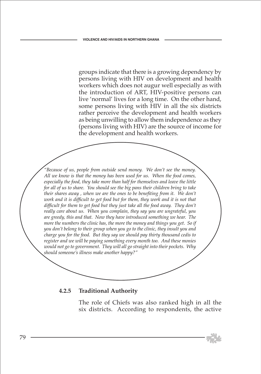groups indicate that there is a growing dependency by persons living with HIV on development and health workers which does not augur well especially as with the introduction of ART, HIV-positive persons can live 'normal' lives for a long time. On the other hand, some persons living with HIV in all the six districts rather perceive the development and health workers as being unwilling to allow them independence as they (persons living with HIV) are the source of income for the development and health workers.

*"Because of us, people from outside send money. We don't see the money. All we know is that the money has been used for us. When the food comes, especially the food, they take more than half for themselves and leave the little for all of us to share. You should see the big pans their children bring to take their shares away , when we are the ones to be benefiting from it. We don't*  work and it is difficult to get food but for them, they work and it is not that *difficult for them to get food but they just take all the food away. They don't really care about us. When you complain, they say you are ungrateful, you are greedy, this and that. Now they have introduced something we hear. The more the numbers the clinic has, the more the money and things you get. So if you don't belong to their group when you go to the clinic, they insult you and charge you for the food. But they say we should pay thirty thousand cedis to register and we will be paying something every month too. And these monies would not go to government. They will all go straight into their pockets. Why should someone's illness make another happy?"* 

#### **4.2.5 Traditional Authority**

 The role of Chiefs was also ranked high in all the six districts. According to respondents, the active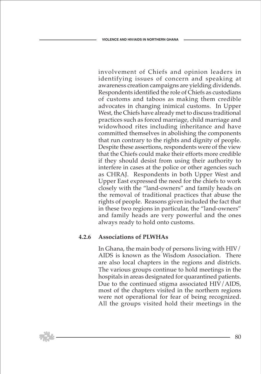involvement of Chiefs and opinion leaders in identifying issues of concern and speaking at awareness creation campaigns are yielding dividends. Respondents identified the role of Chiefs as custodians of customs and taboos as making them credible advocates in changing inimical customs. In Upper West, the Chiefs have already met to discuss traditional practices such as forced marriage, child marriage and widowhood rites including inheritance and have committed themselves in abolishing the components that run contrary to the rights and dignity of people. Despite these assertions, respondents were of the view that the Chiefs could make their efforts more credible if they should desist from using their authority to interfere in cases at the police or other agencies such as CHRAJ. Respondents in both Upper West and Upper East expressed the need for the chiefs to work closely with the "land-owners" and family heads on the removal of traditional practices that abuse the rights of people. Reasons given included the fact that in these two regions in particular, the "land-owners" and family heads are very powerful and the ones always ready to hold onto customs.

#### **4.2.6 Associations of PLWHAs**

 In Ghana, the main body of persons living with HIV/ AIDS is known as the Wisdom Association. There are also local chapters in the regions and districts. The various groups continue to hold meetings in the hospitals in areas designated for quarantined patients. Due to the continued stigma associated HIV/AIDS, most of the chapters visited in the northern regions were not operational for fear of being recognized. All the groups visited hold their meetings in the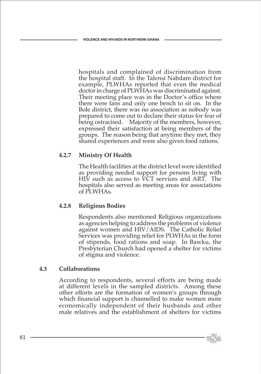hospitals and complained of discrimination from the hospital staff. In the Talensi Nabdam district for example, PLWHAs reported that even the medical doctor in charge of PLWHAs was discriminated against. Their meeting place was in the Doctor's office where there were fans and only one bench to sit on. In the Bole district, there was no association as nobody was prepared to come out to declare their status for fear of being ostracised. Majority of the members, however, expressed their satisfaction at being members of the groups. The reason being that anytime they met, they shared experiences and were also given food rations.

## **4.2.7 Ministry Of Health**

 The Health facilities at the district level were identified as providing needed support for persons living with HIV such as access to VCT services and ART. The hospitals also served as meeting areas for associations of PLWHAs.

#### **4.2.8 Religious Bodies**

 Respondents also mentioned Religious organizations as agencies helping to address the problems of violence against women and HIV/AIDS. The Catholic Relief Services was providing relief for PLWHAs in the form of stipends, food rations and soap. In Bawku, the Presbyterian Church had opened a shelter for victims of stigma and violence.

#### **4.3 Collaborations**

 According to respondents, several efforts are being made at different levels in the sampled districts. Among these other efforts are the formation of women's groups through which financial support is channelled to make women more economically independent of their husbands and other male relatives and the establishment of shelters for victims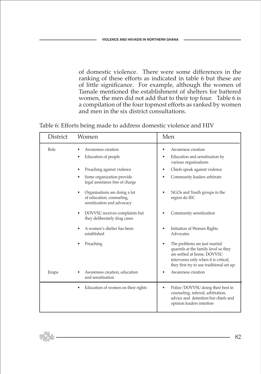of domestic violence. There were some differences in the ranking of these efforts as indicated in table 6 but these are of little significance. For example, although the women of Tamale mentioned the establishment of shelters for battered women, the men did not add that to their top four. Table 6 is a compilation of the four topmost efforts as ranked by women and men in the six district consultations.

Table 6: Efforts being made to address domestic violence and HIV

| District    | Women                                                                                                                                                                   | Men                                                                                                                                                                                                                                                        |
|-------------|-------------------------------------------------------------------------------------------------------------------------------------------------------------------------|------------------------------------------------------------------------------------------------------------------------------------------------------------------------------------------------------------------------------------------------------------|
| <b>Bole</b> | Awareness creation<br>Education of people<br>٠<br>Preaching against violence<br>Some organization provide<br>legal assistance free of charge                            | Awareness creation<br>٠<br>Education and sensitisation by<br>$\bullet$<br>various organisations<br>Chiefs speak against violence<br>٠<br>Community leaders arbitrate<br>٠                                                                                  |
|             | Organisations are doing a lot<br>of education, counseling,<br>sensitization and advocacy<br>DOVVSU receives complaints but<br>$\bullet$<br>they deliberately drag cases | NGOs and Youth groups in the<br>region do IEC<br>Community sensitization                                                                                                                                                                                   |
| Jirapa      | A women's shelter has been<br>established<br>Preaching<br>Awareness creation, education<br>and sensitisation                                                            | Initiation of Women Rights<br>Advocates<br>The problems are just marital<br>quarrels at the family level so they<br>are settled at home. DOVVSU<br>intervenes only when it is critical,<br>they first try to use traditional set up.<br>Awareness creation |
|             | Education of women on their rights<br>٠                                                                                                                                 | Police/DOVVSU doing their best in<br>٠<br>counseling, referral, arbitration,<br>advice and detention but chiefs and<br>opinion leaders interfere                                                                                                           |

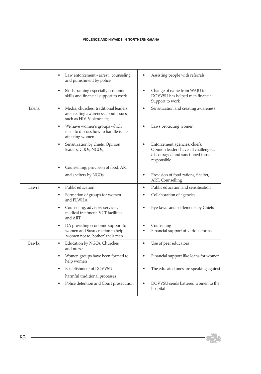|         | Law enforcement - arrest, 'counseling'<br>and punishment by police                                                     | Assisting people with referrals                                                                                           |
|---------|------------------------------------------------------------------------------------------------------------------------|---------------------------------------------------------------------------------------------------------------------------|
|         | Skills training especially economic<br>$\bullet$<br>skills and financial support to work                               | Change of name from WAJU to<br>DOVVSU has helped men financial<br>Support to work                                         |
| Talensi | Media, churches, traditional leaders<br>$\bullet$<br>are creating awareness about issues<br>such as HIV, Violence etc, | Sensitization and creating awareness<br>٠                                                                                 |
|         | We have women's groups which<br>٠<br>meet to discuss how to handle issues<br>affecting women                           | Laws protecting women                                                                                                     |
|         | Sensitization by chiefs, Opinion<br>leaders, CBOs, NGOs,                                                               | Enforcement agencies, chiefs,<br>Opinion leaders have all challenged,<br>discouraged and sanctioned those<br>responsible. |
|         | Counselling, provision of food, ART                                                                                    |                                                                                                                           |
|         | and shelters by NGOs                                                                                                   | Provision of food rations, Shelter,<br>$\bullet$<br>ART, Counselling                                                      |
| Lawra   | Public education<br>$\bullet$                                                                                          | Public education and sensitisation<br>$\bullet$                                                                           |
|         | Formation of groups for women<br>and PLWHA                                                                             | Collaboration of agencies<br>٠                                                                                            |
|         | Counseling, advisory services,<br>medical treatment, VCT facilities<br>and ART                                         | Bye-laws and settlements by Chiefs                                                                                        |
|         | DA providing economic support to<br>women and Susu creation to help<br>women not to 'bother' their men                 | Counseling<br>Financial support of various forms                                                                          |
| Bawku   | Education by NGOs, Churches<br>$\bullet$<br>and nurses                                                                 | Use of peer educators<br>$\bullet$                                                                                        |
|         | Women groups have been formed to<br>help women                                                                         | Financial support like loans for women                                                                                    |
|         | Establishment of DOVVSU                                                                                                | The educated ones are speaking against<br>$\bullet$                                                                       |
|         | harmful traditional processes                                                                                          |                                                                                                                           |
|         | Police detention and Court prosecution                                                                                 | DOVVSU sends battered women to the<br>hospital                                                                            |

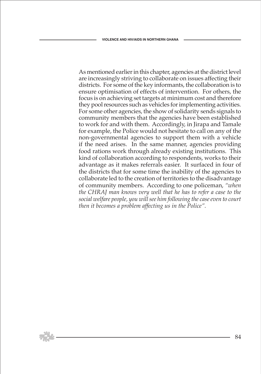As mentioned earlier in this chapter, agencies at the district level are increasingly striving to collaborate on issues affecting their districts. For some of the key informants, the collaboration is to ensure optimisation of effects of intervention. For others, the focus is on achieving set targets at minimum cost and therefore they pool resources such as vehicles for implementing activities. For some other agencies, the show of solidarity sends signals to community members that the agencies have been established to work for and with them. Accordingly, in Jirapa and Tamale for example, the Police would not hesitate to call on any of the non-governmental agencies to support them with a vehicle if the need arises. In the same manner, agencies providing food rations work through already existing institutions. This kind of collaboration according to respondents, works to their advantage as it makes referrals easier. It surfaced in four of the districts that for some time the inability of the agencies to collaborate led to the creation of territories to the disadvantage of community members. According to one policeman, *"when the CHRAJ man knows very well that he has to refer a case to the social welfare people, you will see him following the case even to court then it becomes a problem affecting us in the Police".*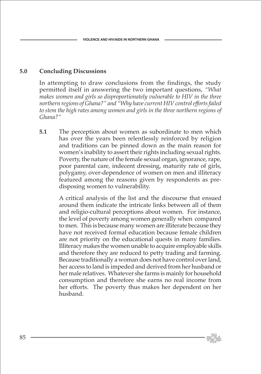## **5.0 Concluding Discussions**

 In attempting to draw conclusions from the findings, the study permitted itself in answering the two important questions, *"What makes women and girls so disproportionately vulnerable to HIV in the three northern regions of Ghana?" and "Why have current HIV control efforts failed*  to stem the high rates among women and girls in the three northern regions of *Ghana?"*

 **5.1** The perception about women as subordinate to men which has over the years been relentlessly reinforced by religion and traditions can be pinned down as the main reason for women's inability to assert their rights including sexual rights. Poverty, the nature of the female sexual organ, ignorance, rape, poor parental care, indecent dressing, maturity rate of girls, polygamy, over-dependence of women on men and illiteracy featured among the reasons given by respondents as predisposing women to vulnerability.

> A critical analysis of the list and the discourse that ensued around them indicate the intricate links between all of them and religio-cultural perceptions about women. For instance, the level of poverty among women generally when compared to men. This is because many women are illiterate because they have not received formal education because female children are not priority on the educational quests in many families. Illiteracy makes the women unable to acquire employable skills and therefore they are reduced to petty trading and farming. Because traditionally a woman does not have control over land, her access to land is impeded and derived from her husband or her male relatives. Whatever she farms is mainly for household consumption and therefore she earns no real income from her efforts. The poverty thus makes her dependent on her husband.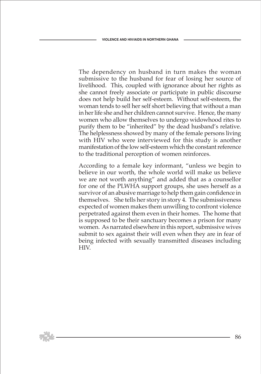The dependency on husband in turn makes the woman submissive to the husband for fear of losing her source of livelihood. This, coupled with ignorance about her rights as she cannot freely associate or participate in public discourse does not help build her self-esteem. Without self-esteem, the woman tends to sell her self short believing that without a man in her life she and her children cannot survive. Hence, the many women who allow themselves to undergo widowhood rites to purify them to be "inherited" by the dead husband's relative. The helplessness showed by many of the female persons living with HIV who were interviewed for this study is another manifestation of the low self-esteem which the constant reference to the traditional perception of women reinforces.

 According to a female key informant, "unless we begin to believe in our worth, the whole world will make us believe we are not worth anything" and added that as a counsellor for one of the PLWHA support groups, she uses herself as a survivor of an abusive marriage to help them gain confidence in themselves. She tells her story in story 4. The submissiveness expected of women makes them unwilling to confront violence perpetrated against them even in their homes. The home that is supposed to be their sanctuary becomes a prison for many women. As narrated elsewhere in this report, submissive wives submit to sex against their will even when they are in fear of being infected with sexually transmitted diseases including HIV.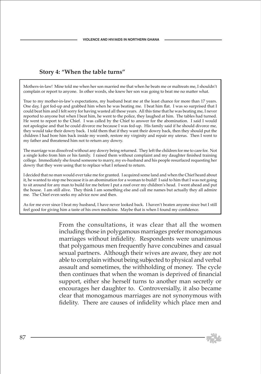### **Story 4: "When the table turns"**

Mothers-in-law! Mine told me when her son married me that when he beats me or maltreats me, I shouldn't complain or report to anyone. In other words, she knew her son was going to beat me no matter what.

True to my mother-in-law's expectations, my husband beat me at the least chance for more than 17 years. One day, I got fed-up and grabbed him when he was beating me. I beat him flat. I was so surprised that I could beat him and I felt sorry for having wasted all these years. All this time that he was beating me, I never reported to anyone but when I beat him, he went to the police, they laughed at him. The tables had turned. He went to report to the Chief. I was called by the Chief to answer for the abomination. I said I would not apologise and that he could divorce me because I was fed-up. His family said if he should divorce me, they would take their dowry back. I told them that if they want their dowry back, then they should put the children I had bore him back inside my womb, restore my virginity and repair my uterus. Then I went to my father and threatened him not to return any dowry.

The marriage was dissolved without any dowry being returned. They left the children for me to care for. Not a single kobo from him or his family. I raised them without complaint and my daughter finished training college. Immediately she found someone to marry, my ex-husband and his people resurfaced requesting her dowry that they were using that to replace what I refused to return.

I decided that no man would ever take me for granted. I acquired some land and when the Chief heard about it, he wanted to stop me because it is an abomination for a woman to build! I said to him that I was not going to sit around for any man to build for me before I put a roof over my children's head. I went ahead and put the house. I am still alive. They think I am something else and call me names but actually they all admire me. The Chief even seeks my advice now and then.

As for me ever since I beat my husband, I have never looked back. I haven't beaten anyone since but I still feel good for giving him a taste of his own medicine. Maybe that is when I found my confidence.

> From the consultations, it was clear that all the women including those in polygamous marriages prefer monogamous marriages without infidelity. Respondents were unanimous that polygamous men frequently have concubines and casual sexual partners. Although their wives are aware, they are not able to complain without being subjected to physical and verbal assault and sometimes, the withholding of money. The cycle then continues that when the woman is deprived of financial support, either she herself turns to another man secretly or encourages her daughter to. Controversially, it also became clear that monogamous marriages are not synonymous with fidelity. There are causes of infidelity which place men and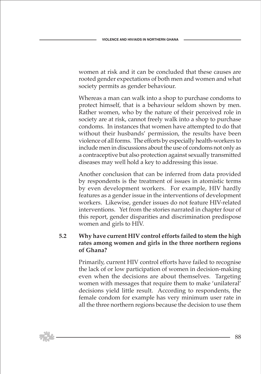women at risk and it can be concluded that these causes are rooted gender expectations of both men and women and what society permits as gender behaviour.

 Whereas a man can walk into a shop to purchase condoms to protect himself, that is a behaviour seldom shown by men. Rather women, who by the nature of their perceived role in society are at risk, cannot freely walk into a shop to purchase condoms. In instances that women have attempted to do that without their husbands' permission, the results have been violence of all forms. The efforts by especially health-workers to include men in discussions about the use of condoms not only as a contraceptive but also protection against sexually transmitted diseases may well hold a key to addressing this issue.

 Another conclusion that can be inferred from data provided by respondents is the treatment of issues in atomistic terms by even development workers. For example, HIV hardly features as a gender issue in the interventions of development workers. Likewise, gender issues do not feature HIV-related interventions. Yet from the stories narrated in chapter four of this report, gender disparities and discrimination predispose women and girls to HIV.

### **5.2 Why have current HIV control efforts failed to stem the high rates among women and girls in the three northern regions of Ghana?**

 Primarily, current HIV control efforts have failed to recognise the lack of or low participation of women in decision-making even when the decisions are about themselves. Targeting women with messages that require them to make 'unilateral' decisions yield little result. According to respondents, the female condom for example has very minimum user rate in all the three northern regions because the decision to use them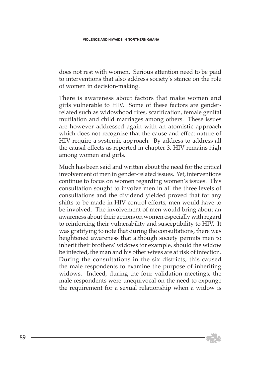does not rest with women. Serious attention need to be paid to interventions that also address society's stance on the role of women in decision-making.

 There is awareness about factors that make women and girls vulnerable to HIV. Some of these factors are genderrelated such as widowhood rites, scarification, female genital mutilation and child marriages among others. These issues are however addressed again with an atomistic approach which does not recognize that the cause and effect nature of HIV require a systemic approach. By address to address all the causal effects as reported in chapter 3, HIV remains high among women and girls.

 Much has been said and written about the need for the critical involvement of men in gender-related issues. Yet, interventions continue to focus on women regarding women's issues. This consultation sought to involve men in all the three levels of consultations and the dividend yielded proved that for any shifts to be made in HIV control efforts, men would have to be involved. The involvement of men would bring about an awareness about their actions on women especially with regard to reinforcing their vulnerability and susceptibility to HIV. It was gratifying to note that during the consultations, there was heightened awareness that although society permits men to inherit their brothers' widows for example, should the widow be infected, the man and his other wives are at risk of infection. During the consultations in the six districts, this caused the male respondents to examine the purpose of inheriting widows. Indeed, during the four validation meetings, the male respondents were unequivocal on the need to expunge the requirement for a sexual relationship when a widow is

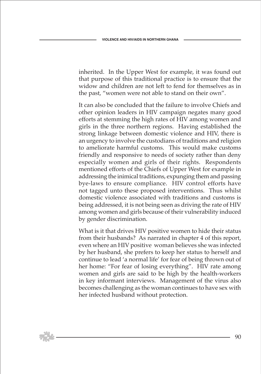inherited. In the Upper West for example, it was found out that purpose of this traditional practice is to ensure that the widow and children are not left to fend for themselves as in the past, "women were not able to stand on their own".

 It can also be concluded that the failure to involve Chiefs and other opinion leaders in HIV campaign negates many good efforts at stemming the high rates of HIV among women and girls in the three northern regions. Having established the strong linkage between domestic violence and HIV, there is an urgency to involve the custodians of traditions and religion to ameliorate harmful customs. This would make customs friendly and responsive to needs of society rather than deny especially women and girls of their rights. Respondents mentioned efforts of the Chiefs of Upper West for example in addressing the inimical traditions, expunging them and passing bye-laws to ensure compliance. HIV control efforts have not tagged unto these proposed interventions. Thus whilst domestic violence associated with traditions and customs is being addressed, it is not being seen as driving the rate of HIV among women and girls because of their vulnerability induced by gender discrimination.

 What is it that drives HIV positive women to hide their status from their husbands? As narrated in chapter 4 of this report, even where an HIV positive woman believes she was infected by her husband, she prefers to keep her status to herself and continue to lead 'a normal life' for fear of being thrown out of her home: "For fear of losing everything". HIV rate among women and girls are said to be high by the health-workers in key informant interviews. Management of the virus also becomes challenging as the woman continues to have sex with her infected husband without protection.

90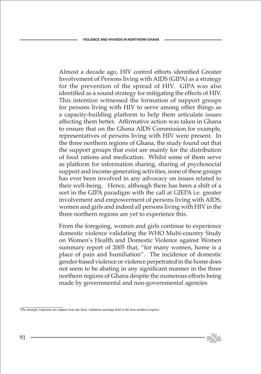Almost a decade ago, HIV control efforts identified Greater Involvement of Persons living with AIDS (GIPA) as a strategy for the prevention of the spread of HIV. GIPA was also identified as a sound strategy for mitigating the effects of HIV. This intention witnessed the formation of support groups for persons living with HIV to serve among other things as a capacity-building platform to help them articulate issues affecting them better. Affirmative action was taken in Ghana to ensure that on the Ghana AIDS Commission for example, representatives of persons living with HIV were present. In the three northern regions of Ghana, the study found out that the support groups that exist are mainly for the distribution of food rations and medication. Whilst some of them serve as platform for information sharing, sharing of psychosocial support and income-generating activities, none of these groups has ever been involved in any advocacy on issues related to their well-being. Hence, although there has been a shift of a sort in the GIPA paradigm with the call at GIEPA i.e. greater involvement and empowerment of persons living with AIDS, women and girls and indeed all persons living with HIV in the three northern regions are yet to experience this.

 From the foregoing, women and girls continue to experience domestic violence validating the WHO Multi-country Study on Women's Health and Domestic Violence against Women summary report of 2005 that, "for many women, home is a place of pain and humiliation". The incidence of domestic gender-based violence or violence perpetrated in the home does not seem to be abating in any significant manner in the three northern regions of Ghana despite the numerous efforts being made by governmental and non-governmental agencies



<sup>9</sup> The strategic responses are outputs from the three validation meetings held in the hree northern regions.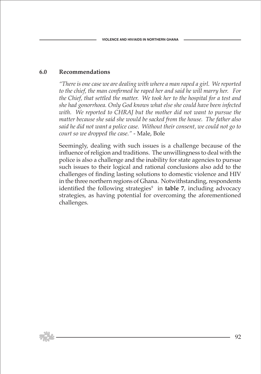#### **6.0 Recommendations**

*"There is one case we are dealing with where a man raped a girl. We reported to the chief, the man confirmed he raped her and said he will marry her. For the Chief, that settled the matter. We took her to the hospital for a test and she had gonorrhoea. Only God knows what else she could have been infected*  with. We reported to CHRAJ but the mother did not want to pursue the *matter because she said she would be sacked from the house. The father also said he did not want a police case. Without their consent, we could not go to court so we dropped the case."* - Male, Bole

 Seemingly, dealing with such issues is a challenge because of the influence of religion and traditions. The unwillingness to deal with the police is also a challenge and the inability for state agencies to pursue such issues to their logical and rational conclusions also add to the challenges of finding lasting solutions to domestic violence and HIV in the three northern regions of Ghana. Notwithstanding, respondents identified the following strategies<sup>9</sup> in **table 7**, including advocacy strategies, as having potential for overcoming the aforementioned challenges.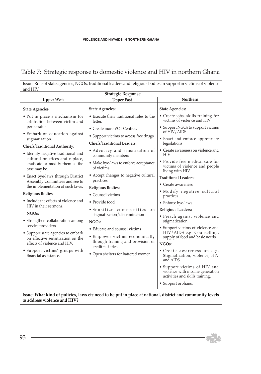# Table 7: Strategic response to domestic violence and HIV in northern Ghana

Issue: Role of state agencies, NGOs, traditional leaders and religious bodies in supportin victims ot violence and HIV

| <b>Strategic Response</b>                                                                                 |                                                                               |                                                                                                    |  |  |
|-----------------------------------------------------------------------------------------------------------|-------------------------------------------------------------------------------|----------------------------------------------------------------------------------------------------|--|--|
| <b>Upper West</b>                                                                                         | <b>Upper East</b>                                                             | Northern                                                                                           |  |  |
| <b>State Agencies:</b>                                                                                    | <b>State Agencies:</b>                                                        | <b>State Agencies:</b>                                                                             |  |  |
| • Put in place a mechanism for<br>arbitration between victim and                                          | • Execute their traditional roles to the<br>letter.                           | • Create jobs, skills training for<br>victims of violence and HIV                                  |  |  |
| perpetrator.<br>• Embark on education against                                                             | • Create more VCT Centres.                                                    | • Support NGOs to support victims<br>of HIV/AIDS                                                   |  |  |
| stigmatization.                                                                                           | • Support victims to access free drugs.<br><b>Chiefs/Traditional Leaders:</b> | • Enact and enforce appropriate                                                                    |  |  |
| Chiefs/Traditional Authority:                                                                             |                                                                               | legislations                                                                                       |  |  |
| • Identify negative traditional and<br>cultural practices and replace,                                    | • Advocacy and sensitization of<br>community members                          | • Create awareness on violence and<br><b>HIV</b>                                                   |  |  |
| eradicate or modify them as the<br>case may be.                                                           | • Make bye-laws to enforce acceptance<br>of victims                           | • Provide free medical care for<br>victims of violence and people<br>living with HIV               |  |  |
| • Enact bye-laws through District<br>Assembly Committees and see to                                       | • Accept changes to negative cultural<br>practices                            | <b>Traditional Leaders:</b>                                                                        |  |  |
| the implementation of such laws.                                                                          |                                                                               | • Create awareness                                                                                 |  |  |
| Religious Bodies:                                                                                         | <b>Religious Bodies:</b><br>• Counsel victims                                 | • Modify negative cultural<br>practices                                                            |  |  |
| • Include the effects of violence and                                                                     | • Provide food                                                                | • Enforce bye-laws                                                                                 |  |  |
| HIV in their sermons.                                                                                     | • Sensitize communities on                                                    | Religious Leaders:                                                                                 |  |  |
| NGO <sub>s:</sub>                                                                                         | stigmatization/discrimination                                                 | • Preach against violence and                                                                      |  |  |
| • Strengthen collaboration among<br>service providers                                                     | NGO <sub>s:</sub>                                                             | stigmatization                                                                                     |  |  |
| • Support state agencies to embark                                                                        | • Educate and counsel victims                                                 | • Support victims of violence and<br>HIV/AIDS e.g. Counselling,                                    |  |  |
| on effective sensitization on the                                                                         | • Empower victims economically<br>through training and provision of           | supply of food and basic needs.                                                                    |  |  |
| effects of violence and HIV.                                                                              | credit facilities.                                                            | NGO <sub>s</sub> :                                                                                 |  |  |
| • Support victims' groups with<br>financial assistance.                                                   | • Open shelters for battered women                                            | • Create awareness on e.g.<br>Stigmatization, violence, HIV<br>and AIDS.                           |  |  |
|                                                                                                           |                                                                               | • Support victims of HIV and<br>violence with income generation<br>activities and skills training. |  |  |
|                                                                                                           |                                                                               | • Support orphans.                                                                                 |  |  |
| Issue: What kind of policies, laws etc need to be put in place at national, district and community levels |                                                                               |                                                                                                    |  |  |

**to address violence and HIV?** 

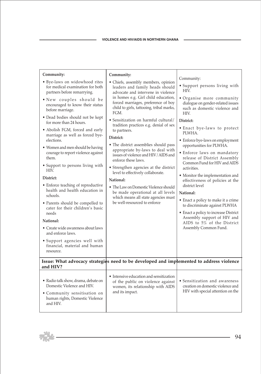| Community:<br>· Bye-laws on widowhood rites<br>for medical examination for both<br>partners before remarrying.<br>• New couples should be<br>encouraged to know their status<br>before marriage.<br>• Dead bodies should not be kept<br>for more than 24 hours.<br>• Abolish FGM, forced and early<br>marriage as well as forced bye-<br>elections.<br>• Women and men should be having<br>courage to report violence against<br>them.<br>• Support to persons living with<br>HIV.<br>District:<br>• Enforce teaching of reproductive<br>health and health education in<br>schools. | Community:<br>• Chiefs, assembly members, opinion<br>leaders and family heads should<br>advocate and intervene in violence<br>in homes e.g. Girl child education,<br>forced marriages, preference of boy<br>child to girls, tattooing, tribal marks,<br>FGM.<br>• Sensitization on harmful cultural/<br>tradition practices e.g. denial of sex<br>to partners.<br>District:<br>• The district assemblies should pass<br>appropriate by-laws to deal with<br>issues of violence and HIV/AIDS and<br>enforce these laws.<br>• Strengthen agencies at the district<br>level to effectively collaborate.<br>National:<br>• The Law on Domestic Violence should<br>be made operational at all levels<br>which means all state agencies must | Community:<br>• Support persons living with<br>HIV.<br>• Organise more community<br>dialogue on gender-related issues<br>such as domestic violence and<br>HIV.<br>District:<br>. Enact bye-laws to protect<br>PLWHA.<br>• Enforce bye-laws on employment<br>opportunities for PLWHA.<br>· Enforce laws on mandatory<br>release of District Assembly<br>Common Fund for HIV and AIDS<br>activities.<br>• Monitor the implementation and<br>effectiveness of policies at the<br>district level<br>National: |
|-------------------------------------------------------------------------------------------------------------------------------------------------------------------------------------------------------------------------------------------------------------------------------------------------------------------------------------------------------------------------------------------------------------------------------------------------------------------------------------------------------------------------------------------------------------------------------------|----------------------------------------------------------------------------------------------------------------------------------------------------------------------------------------------------------------------------------------------------------------------------------------------------------------------------------------------------------------------------------------------------------------------------------------------------------------------------------------------------------------------------------------------------------------------------------------------------------------------------------------------------------------------------------------------------------------------------------------|-----------------------------------------------------------------------------------------------------------------------------------------------------------------------------------------------------------------------------------------------------------------------------------------------------------------------------------------------------------------------------------------------------------------------------------------------------------------------------------------------------------|
| • Parents should be compelled to<br>cater for their children's basic<br>needs<br>National:<br>• Create wide awareness about laws<br>and enforce laws.<br>· Support agencies well with<br>financial, material and human<br>resource.                                                                                                                                                                                                                                                                                                                                                 | be well-resourced to enforce<br>Issue: What advocacy strategies need to be developed and implemented to address violence                                                                                                                                                                                                                                                                                                                                                                                                                                                                                                                                                                                                               | • Enact a policy to make it a crime<br>to discriminate against PLWHA<br>• Enact a policy to increase District<br>Assembly support of HIV and<br>AIDS to 5% of the District<br>Assembly Common Fund.                                                                                                                                                                                                                                                                                                       |
| and HIV?                                                                                                                                                                                                                                                                                                                                                                                                                                                                                                                                                                            |                                                                                                                                                                                                                                                                                                                                                                                                                                                                                                                                                                                                                                                                                                                                        |                                                                                                                                                                                                                                                                                                                                                                                                                                                                                                           |
| • Radio talk show, drama, debate on<br>Domestic Violence and HIV.<br>• Community sensitisation on<br>human rights, Domestic Violence<br>and HIV.                                                                                                                                                                                                                                                                                                                                                                                                                                    | • Intensive education and sensitization<br>of the public on violence against<br>women, its relationship with AIDS<br>and its impact.                                                                                                                                                                                                                                                                                                                                                                                                                                                                                                                                                                                                   | • Sensitization and awareness<br>creation on domestic violence and<br>HIV with special attention on the                                                                                                                                                                                                                                                                                                                                                                                                   |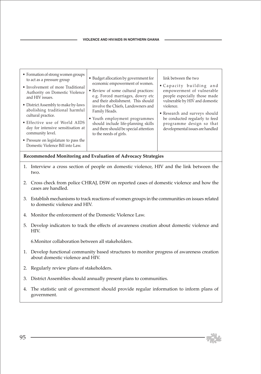| • Formation of strong women groups<br>to act as a pressure group<br>• Involvement of more Traditional<br>Authority on Domestic Violence<br>and HIV issues.<br>• District Assembly to make by-laws<br>abolishing traditional harmful<br>cultural practice.<br>• Effective use of World AIDS<br>day for intensive sensitisation at<br>community level.<br>• Pressure on legislature to pass the<br>Domestic Violence Bill into Law. | • Budget allocation by government for<br>economic empowerment of women.<br>• Review of some cultural practices:<br>e.g. Forced marriages, dowry etc<br>and their abolishment. This should<br>involve the Chiefs, Landowners and<br>Family Heads.<br>• Youth employment programmes<br>should include life-planning skills<br>and there should be special attention<br>to the needs of girls. | link between the two<br>• Capacity building and<br>empowerment of vulnerable<br>people especially those made<br>vulnerable by HIV and domestic<br>violence.<br>• Research and surveys should<br>be conducted regularly to feed<br>programme design so that<br>developmental issues are handled |
|-----------------------------------------------------------------------------------------------------------------------------------------------------------------------------------------------------------------------------------------------------------------------------------------------------------------------------------------------------------------------------------------------------------------------------------|---------------------------------------------------------------------------------------------------------------------------------------------------------------------------------------------------------------------------------------------------------------------------------------------------------------------------------------------------------------------------------------------|------------------------------------------------------------------------------------------------------------------------------------------------------------------------------------------------------------------------------------------------------------------------------------------------|
|-----------------------------------------------------------------------------------------------------------------------------------------------------------------------------------------------------------------------------------------------------------------------------------------------------------------------------------------------------------------------------------------------------------------------------------|---------------------------------------------------------------------------------------------------------------------------------------------------------------------------------------------------------------------------------------------------------------------------------------------------------------------------------------------------------------------------------------------|------------------------------------------------------------------------------------------------------------------------------------------------------------------------------------------------------------------------------------------------------------------------------------------------|

**Recommended Monitoring and Evaluation of Advocacy Strategies**

- 1. Interview a cross section of people on domestic violence, HIV and the link between the two.
- 2. Cross check from police CHRAJ, DSW on reported cases of domestic violence and how the cases are handled.
- 3. Establish mechanisms to track reactions of women groups in the communities on issues related to domestic violence and HIV.
- 4. Monitor the enforcement of the Domestic Violence Law.
- 5. Develop indicators to track the effects of awareness creation about domestic violence and HIV.

6.Monitor collaboration between all stakeholders.

- 1. Develop functional community based structures to monitor progress of awareness creation about domestic violence and HIV.
- 2. Regularly review plans of stakeholders.
- 3. District Assemblies should annually present plans to communities.
- 4. The statistic unit of government should provide regular information to inform plans of government.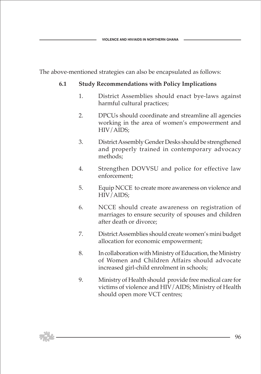The above-mentioned strategies can also be encapsulated as follows:

### **6.1 Study Recommendations with Policy Implications**

- 1. District Assemblies should enact bye-laws against harmful cultural practices;
- 2. DPCUs should coordinate and streamline all agencies working in the area of women's empowerment and HIV/AIDS;
- 3. District Assembly Gender Desks should be strengthened and properly trained in contemporary advocacy methods;
- 4. Strengthen DOVVSU and police for effective law enforcement;
- 5. Equip NCCE to create more awareness on violence and HIV/AIDS;
- 6. NCCE should create awareness on registration of marriages to ensure security of spouses and children after death or divorce;
- 7. District Assemblies should create women's mini budget allocation for economic empowerment;
- 8. In collaboration with Ministry of Education, the Ministry of Women and Children Affairs should advocate increased girl-child enrolment in schools;
- 9. Ministry of Health should provide free medical care for victims of violence and HIV/AIDS; Ministry of Health should open more VCT centres;

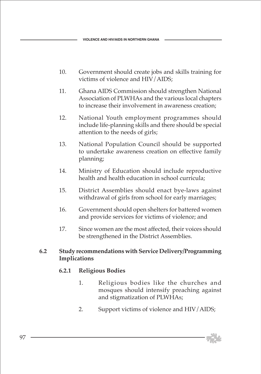- 10. Government should create jobs and skills training for victims of violence and HIV/AIDS;
- 11. Ghana AIDS Commission should strengthen National Association of PLWHAs and the various local chapters to increase their involvement in awareness creation;
- 12. National Youth employment programmes should include life-planning skills and there should be special attention to the needs of girls;
- 13. National Population Council should be supported to undertake awareness creation on effective family planning;
- 14. Ministry of Education should include reproductive health and health education in school curricula;
- 15. District Assemblies should enact bye-laws against withdrawal of girls from school for early marriages;
- 16. Government should open shelters for battered women and provide services for victims of violence; and
- 17. Since women are the most affected, their voices should be strengthened in the District Assemblies.

#### **6.2 Study recommendations with Service Delivery/Programming Implications**

## **6.2.1 Religious Bodies**

- 1. Religious bodies like the churches and mosques should intensify preaching against and stigmatization of PLWHAs;
- 2. Support victims of violence and HIV/AIDS;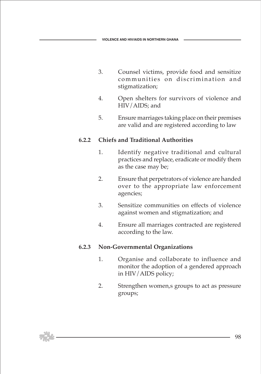- 3. Counsel victims, provide food and sensitize communities on discrimination and stigmatization;
- 4. Open shelters for survivors of violence and HIV/AIDS; and
- 5. Ensure marriages taking place on their premises are valid and are registered according to law

### **6.2.2 Chiefs and Traditional Authorities**

- 1. Identify negative traditional and cultural practices and replace, eradicate or modify them as the case may be;
- 2. Ensure that perpetrators of violence are handed over to the appropriate law enforcement agencies;
- 3. Sensitize communities on effects of violence against women and stigmatization; and
- 4. Ensure all marriages contracted are registered according to the law.

## **6.2.3 Non-Governmental Organizations**

- 1. Organise and collaborate to influence and monitor the adoption of a gendered approach in HIV/AIDS policy;
- 2. Strengthen women,s groups to act as pressure groups;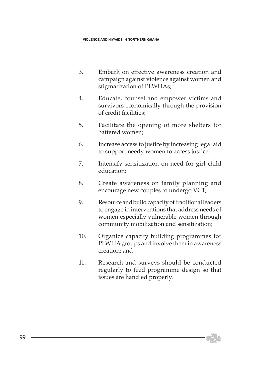- 3. Embark on effective awareness creation and campaign against violence against women and stigmatization of PLWHAs;
- 4. Educate, counsel and empower victims and survivors economically through the provision of credit facilities;
- 5. Facilitate the opening of more shelters for battered women;
- 6. Increase access to justice by increasing legal aid to support needy women to access justice;
- 7. Intensify sensitization on need for girl child education;
- 8. Create awareness on family planning and encourage new couples to undergo VCT;
- 9. Resource and build capacity of traditional leaders to engage in interventions that address needs of women especially vulnerable women through community mobilization and sensitization;
- 10. Organize capacity building programmes for PLWHA groups and involve them in awareness creation; and
- 11. Research and surveys should be conducted regularly to feed programme design so that issues are handled properly.

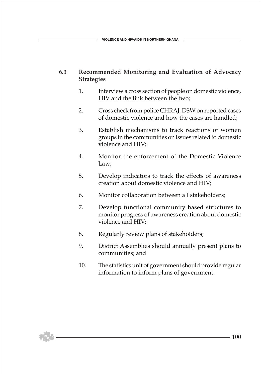#### **6.3 Recommended Monitoring and Evaluation of Advocacy Strategies**

- 1. Interview a cross section of people on domestic violence, HIV and the link between the two;
- 2. Cross check from police CHRAJ, DSW on reported cases of domestic violence and how the cases are handled;
- 3. Establish mechanisms to track reactions of women groups in the communities on issues related to domestic violence and HIV;
- 4. Monitor the enforcement of the Domestic Violence Law;
- 5. Develop indicators to track the effects of awareness creation about domestic violence and HIV;
- 6. Monitor collaboration between all stakeholders;
- 7. Develop functional community based structures to monitor progress of awareness creation about domestic violence and HIV;
- 8. Regularly review plans of stakeholders;
- 9. District Assemblies should annually present plans to communities; and
- 10. The statistics unit of government should provide regular information to inform plans of government.